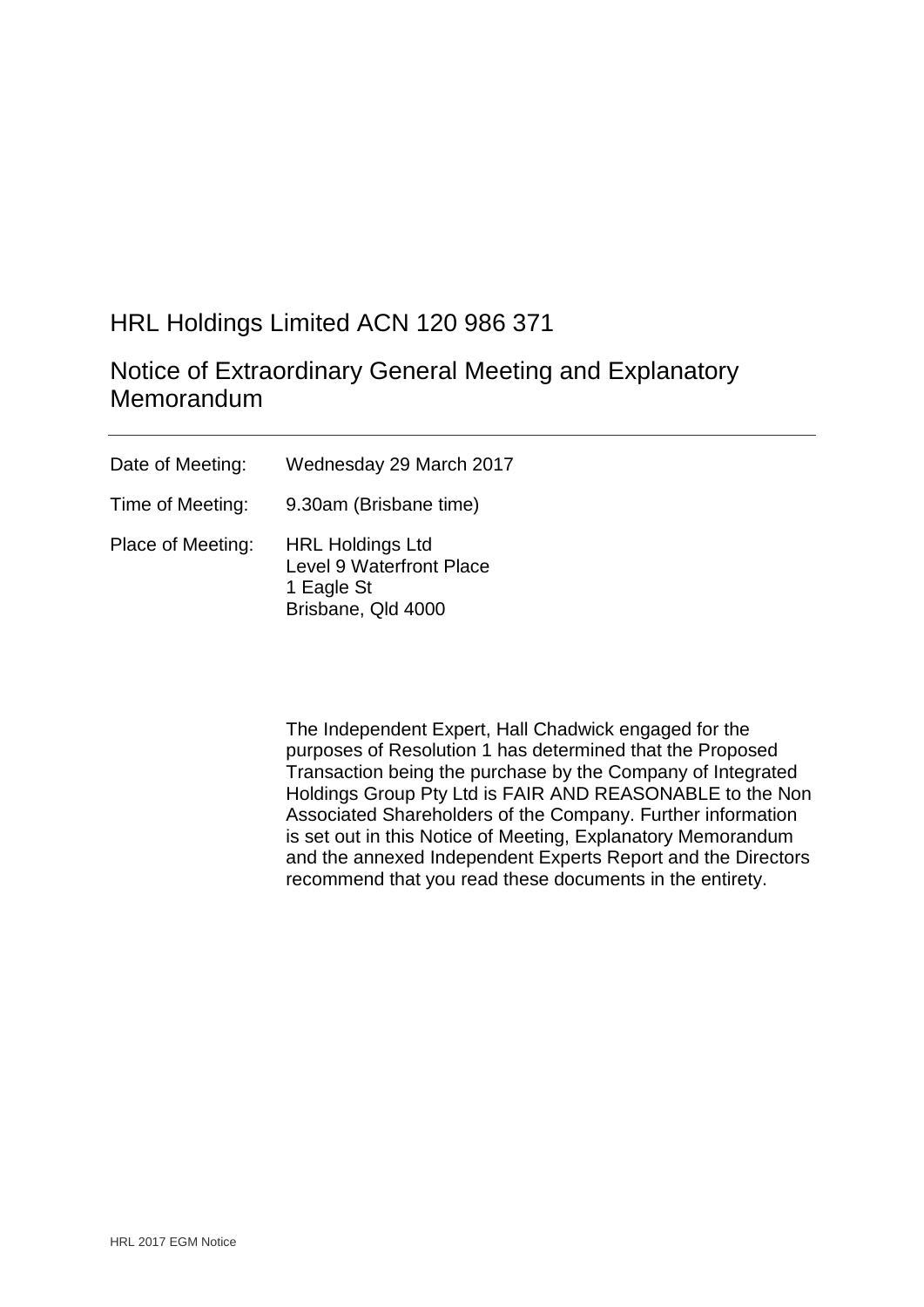# HRL Holdings Limited ACN 120 986 371

# Notice of Extraordinary General Meeting and Explanatory Memorandum

| Date of Meeting:  | Wednesday 29 March 2017                                                                        |
|-------------------|------------------------------------------------------------------------------------------------|
| Time of Meeting:  | 9.30am (Brisbane time)                                                                         |
| Place of Meeting: | <b>HRL Holdings Ltd</b><br><b>Level 9 Waterfront Place</b><br>1 Eagle St<br>Brisbane, Qld 4000 |

The Independent Expert, Hall Chadwick engaged for the purposes of Resolution 1 has determined that the Proposed Transaction being the purchase by the Company of Integrated Holdings Group Pty Ltd is FAIR AND REASONABLE to the Non Associated Shareholders of the Company. Further information is set out in this Notice of Meeting, Explanatory Memorandum and the annexed Independent Experts Report and the Directors recommend that you read these documents in the entirety.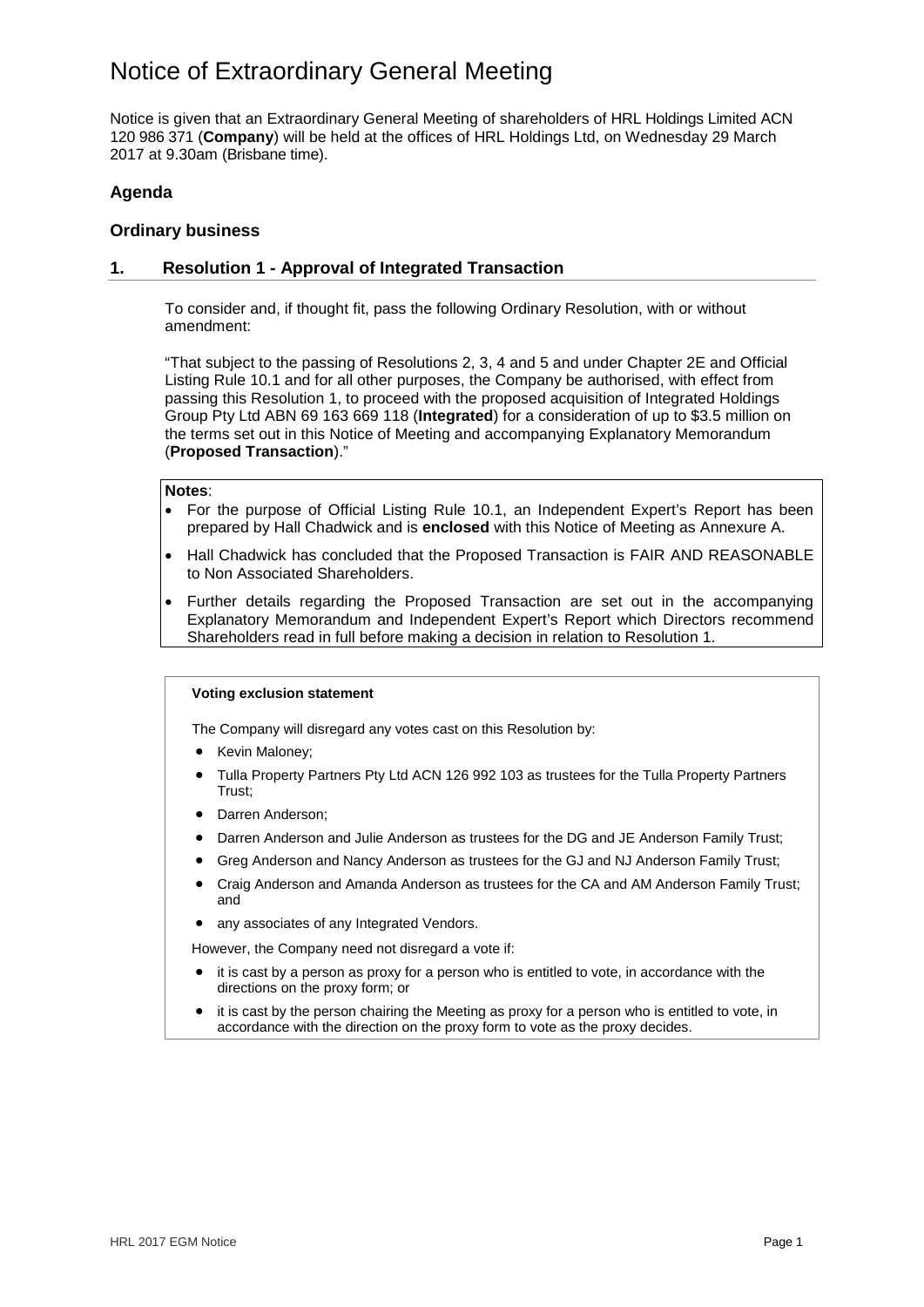Notice is given that an Extraordinary General Meeting of shareholders of HRL Holdings Limited ACN 120 986 371 (**Company**) will be held at the offices of HRL Holdings Ltd, on Wednesday 29 March 2017 at 9.30am (Brisbane time).

## **Agenda**

## **Ordinary business**

## **1. Resolution 1 - Approval of Integrated Transaction**

To consider and, if thought fit, pass the following Ordinary Resolution, with or without amendment:

"That subject to the passing of Resolutions 2, 3, 4 and 5 and under Chapter 2E and Official Listing Rule 10.1 and for all other purposes, the Company be authorised, with effect from passing this Resolution 1, to proceed with the proposed acquisition of Integrated Holdings Group Pty Ltd ABN 69 163 669 118 (**Integrated**) for a consideration of up to \$3.5 million on the terms set out in this Notice of Meeting and accompanying Explanatory Memorandum (**Proposed Transaction**)."

#### **Notes**:

- For the purpose of Official Listing Rule 10.1, an Independent Expert's Report has been prepared by Hall Chadwick and is **enclosed** with this Notice of Meeting as Annexure A.
- Hall Chadwick has concluded that the Proposed Transaction is FAIR AND REASONABLE to Non Associated Shareholders.
- Further details regarding the Proposed Transaction are set out in the accompanying Explanatory Memorandum and Independent Expert's Report which Directors recommend Shareholders read in full before making a decision in relation to Resolution 1.

#### **Voting exclusion statement**

The Company will disregard any votes cast on this Resolution by:

- Kevin Maloney;
- Tulla Property Partners Pty Ltd ACN 126 992 103 as trustees for the Tulla Property Partners Trust;
- Darren Anderson;
- Darren Anderson and Julie Anderson as trustees for the DG and JE Anderson Family Trust;
- Greg Anderson and Nancy Anderson as trustees for the GJ and NJ Anderson Family Trust;
- Craig Anderson and Amanda Anderson as trustees for the CA and AM Anderson Family Trust; and
- any associates of any Integrated Vendors.

However, the Company need not disregard a vote if:

- it is cast by a person as proxy for a person who is entitled to vote, in accordance with the directions on the proxy form; or
- it is cast by the person chairing the Meeting as proxy for a person who is entitled to vote, in accordance with the direction on the proxy form to vote as the proxy decides.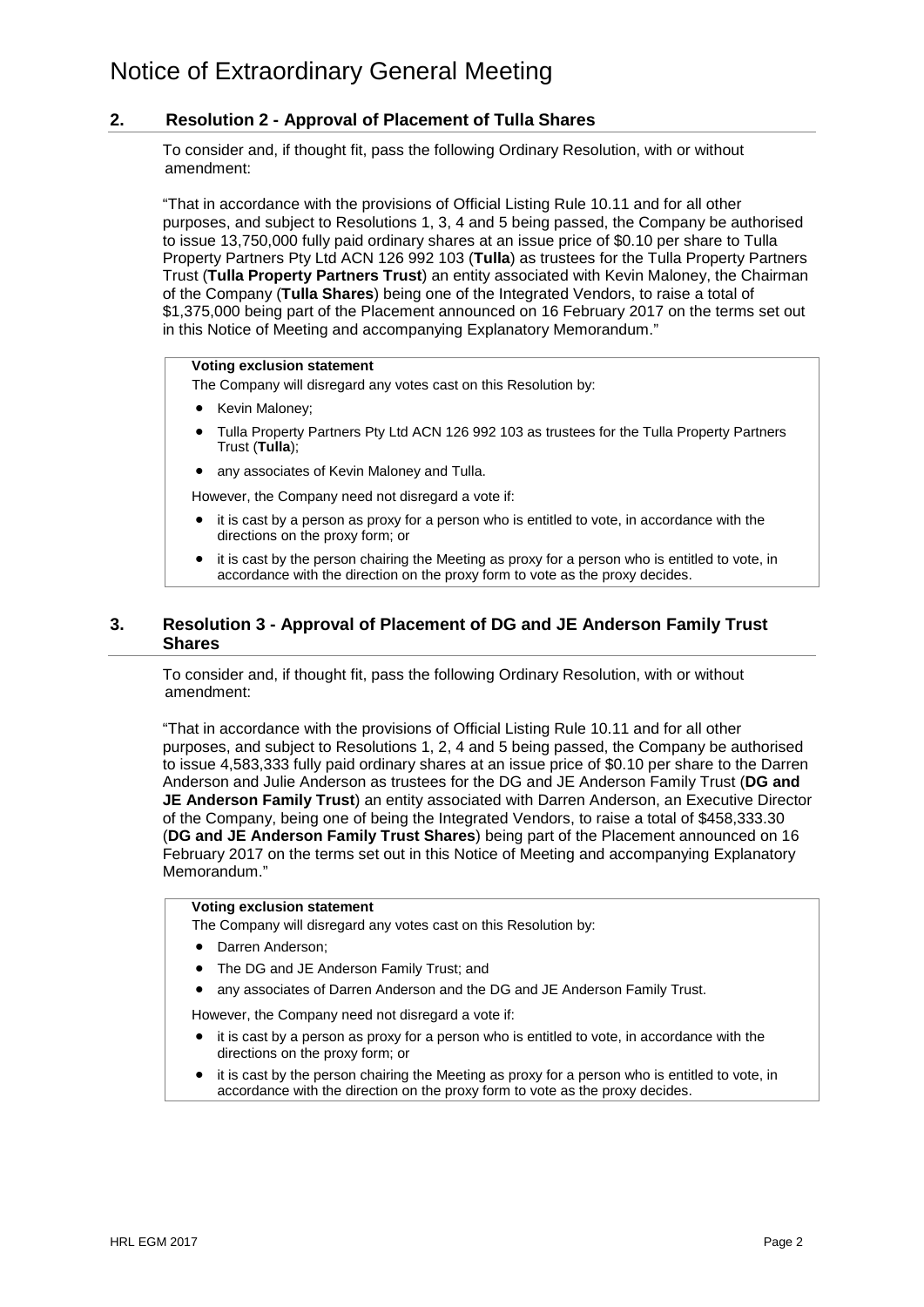## **2. Resolution 2 - Approval of Placement of Tulla Shares**

To consider and, if thought fit, pass the following Ordinary Resolution, with or without amendment:

"That in accordance with the provisions of Official Listing Rule 10.11 and for all other purposes, and subject to Resolutions 1, 3, 4 and 5 being passed, the Company be authorised to issue 13,750,000 fully paid ordinary shares at an issue price of \$0.10 per share to Tulla Property Partners Pty Ltd ACN 126 992 103 (**Tulla**) as trustees for the Tulla Property Partners Trust (**Tulla Property Partners Trust**) an entity associated with Kevin Maloney, the Chairman of the Company (**Tulla Shares**) being one of the Integrated Vendors, to raise a total of \$1,375,000 being part of the Placement announced on 16 February 2017 on the terms set out in this Notice of Meeting and accompanying Explanatory Memorandum."

### **Voting exclusion statement**

The Company will disregard any votes cast on this Resolution by:

- Kevin Maloney;
- Tulla Property Partners Pty Ltd ACN 126 992 103 as trustees for the Tulla Property Partners Trust (**Tulla**);
- any associates of Kevin Maloney and Tulla.

However, the Company need not disregard a vote if:

- it is cast by a person as proxy for a person who is entitled to vote, in accordance with the directions on the proxy form; or
- it is cast by the person chairing the Meeting as proxy for a person who is entitled to vote, in accordance with the direction on the proxy form to vote as the proxy decides.

## **3. Resolution 3 - Approval of Placement of DG and JE Anderson Family Trust Shares**

To consider and, if thought fit, pass the following Ordinary Resolution, with or without amendment:

"That in accordance with the provisions of Official Listing Rule 10.11 and for all other purposes, and subject to Resolutions 1, 2, 4 and 5 being passed, the Company be authorised to issue 4,583,333 fully paid ordinary shares at an issue price of \$0.10 per share to the Darren Anderson and Julie Anderson as trustees for the DG and JE Anderson Family Trust (**DG and JE Anderson Family Trust**) an entity associated with Darren Anderson, an Executive Director of the Company, being one of being the Integrated Vendors, to raise a total of \$458,333.30 (**DG and JE Anderson Family Trust Shares**) being part of the Placement announced on 16 February 2017 on the terms set out in this Notice of Meeting and accompanying Explanatory Memorandum."

#### **Voting exclusion statement**

The Company will disregard any votes cast on this Resolution by:

- Darren Anderson:
- The DG and JE Anderson Family Trust: and
- any associates of Darren Anderson and the DG and JE Anderson Family Trust.

However, the Company need not disregard a vote if:

- it is cast by a person as proxy for a person who is entitled to vote, in accordance with the directions on the proxy form; or
- it is cast by the person chairing the Meeting as proxy for a person who is entitled to vote, in accordance with the direction on the proxy form to vote as the proxy decides.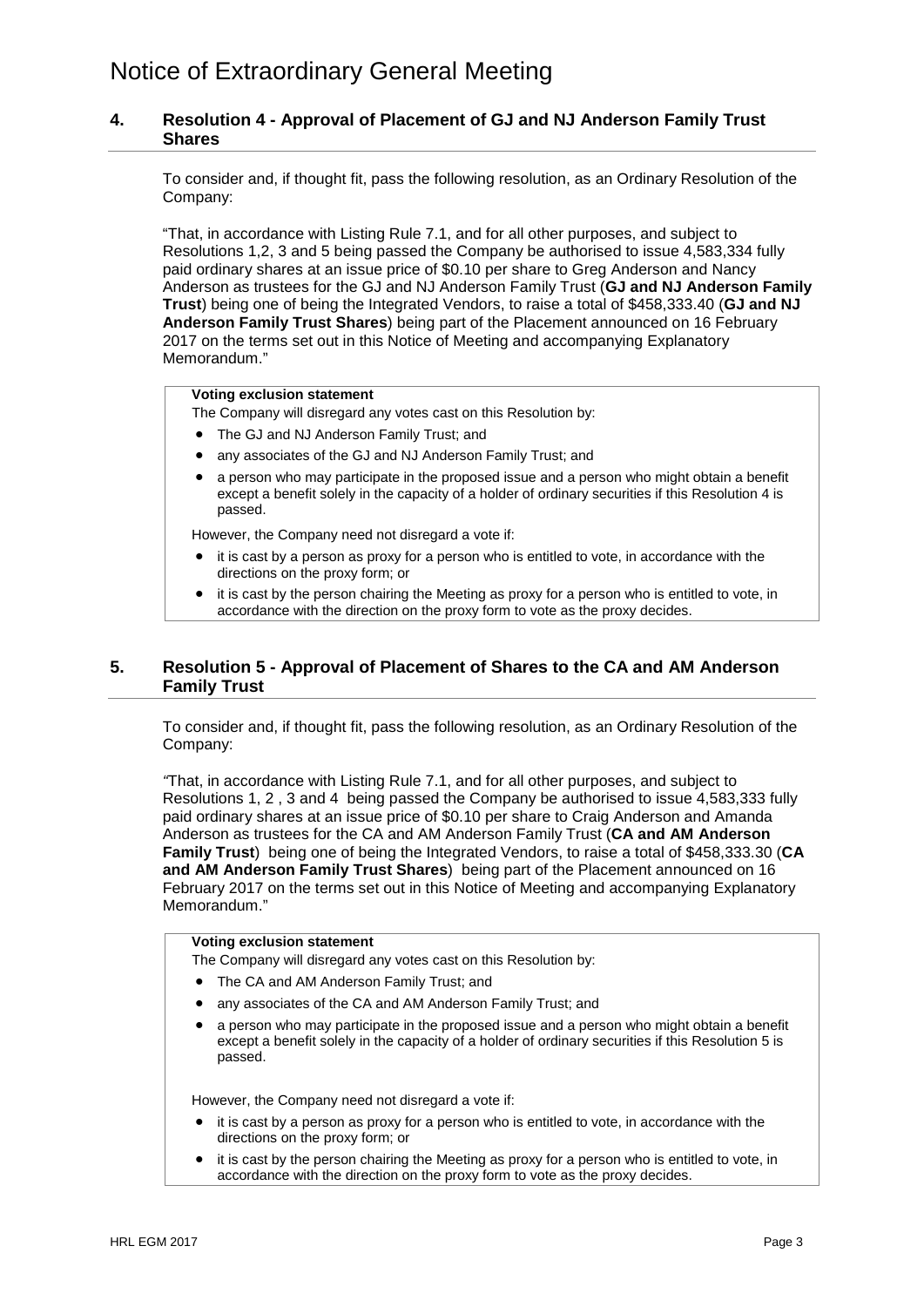## **4. Resolution 4 - Approval of Placement of GJ and NJ Anderson Family Trust Shares**

To consider and, if thought fit, pass the following resolution, as an Ordinary Resolution of the Company:

"That, in accordance with Listing Rule 7.1, and for all other purposes, and subject to Resolutions 1,2, 3 and 5 being passed the Company be authorised to issue 4,583,334 fully paid ordinary shares at an issue price of \$0.10 per share to Greg Anderson and Nancy Anderson as trustees for the GJ and NJ Anderson Family Trust (**GJ and NJ Anderson Family Trust**) being one of being the Integrated Vendors, to raise a total of \$458,333.40 (**GJ and NJ Anderson Family Trust Shares**) being part of the Placement announced on 16 February 2017 on the terms set out in this Notice of Meeting and accompanying Explanatory Memorandum."

#### **Voting exclusion statement**

The Company will disregard any votes cast on this Resolution by:

- The GJ and NJ Anderson Family Trust; and
- any associates of the GJ and NJ Anderson Family Trust; and
- a person who may participate in the proposed issue and a person who might obtain a benefit except a benefit solely in the capacity of a holder of ordinary securities if this Resolution 4 is passed.

However, the Company need not disregard a vote if:

- it is cast by a person as proxy for a person who is entitled to vote, in accordance with the directions on the proxy form; or
- it is cast by the person chairing the Meeting as proxy for a person who is entitled to vote, in accordance with the direction on the proxy form to vote as the proxy decides.

## **5. Resolution 5 - Approval of Placement of Shares to the CA and AM Anderson Family Trust**

To consider and, if thought fit, pass the following resolution, as an Ordinary Resolution of the Company:

*"*That, in accordance with Listing Rule 7.1, and for all other purposes, and subject to Resolutions 1, 2 , 3 and 4 being passed the Company be authorised to issue 4,583,333 fully paid ordinary shares at an issue price of \$0.10 per share to Craig Anderson and Amanda Anderson as trustees for the CA and AM Anderson Family Trust (**CA and AM Anderson Family Trust**) being one of being the Integrated Vendors, to raise a total of \$458,333.30 (**CA and AM Anderson Family Trust Shares**) being part of the Placement announced on 16 February 2017 on the terms set out in this Notice of Meeting and accompanying Explanatory Memorandum."

#### **Voting exclusion statement**

The Company will disregard any votes cast on this Resolution by:

- The CA and AM Anderson Family Trust; and
- any associates of the CA and AM Anderson Family Trust: and
- a person who may participate in the proposed issue and a person who might obtain a benefit except a benefit solely in the capacity of a holder of ordinary securities if this Resolution 5 is passed.

However, the Company need not disregard a vote if:

- it is cast by a person as proxy for a person who is entitled to vote, in accordance with the directions on the proxy form; or
- it is cast by the person chairing the Meeting as proxy for a person who is entitled to vote, in accordance with the direction on the proxy form to vote as the proxy decides.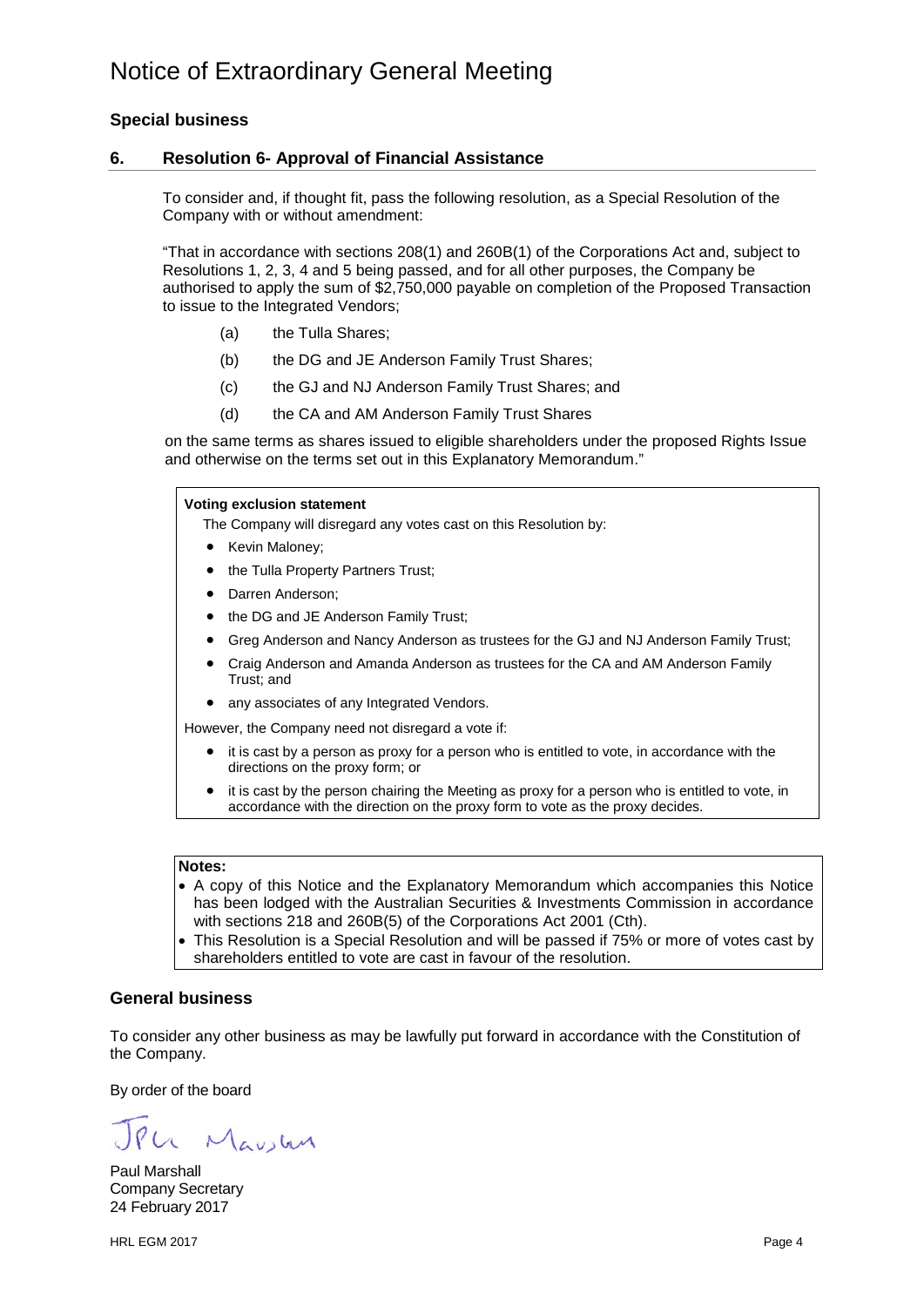## **Special business**

## **6. Resolution 6- Approval of Financial Assistance**

To consider and, if thought fit, pass the following resolution, as a Special Resolution of the Company with or without amendment:

"That in accordance with sections 208(1) and 260B(1) of the Corporations Act and, subject to Resolutions 1, 2, 3, 4 and 5 being passed, and for all other purposes, the Company be authorised to apply the sum of \$2,750,000 payable on completion of the Proposed Transaction to issue to the Integrated Vendors;

- (a) the Tulla Shares;
- (b) the DG and JE Anderson Family Trust Shares;
- (c) the GJ and NJ Anderson Family Trust Shares; and
- (d) the CA and AM Anderson Family Trust Shares

on the same terms as shares issued to eligible shareholders under the proposed Rights Issue and otherwise on the terms set out in this Explanatory Memorandum."

#### **Voting exclusion statement**

The Company will disregard any votes cast on this Resolution by:

- Kevin Maloney;
- the Tulla Property Partners Trust;
- Darren Anderson;
- the DG and JE Anderson Family Trust;
- Greg Anderson and Nancy Anderson as trustees for the GJ and NJ Anderson Family Trust;
- Craig Anderson and Amanda Anderson as trustees for the CA and AM Anderson Family Trust; and

• any associates of any Integrated Vendors.

However, the Company need not disregard a vote if:

- it is cast by a person as proxy for a person who is entitled to vote, in accordance with the directions on the proxy form; or
- it is cast by the person chairing the Meeting as proxy for a person who is entitled to vote, in accordance with the direction on the proxy form to vote as the proxy decides.

#### **Notes:**

- A copy of this Notice and the Explanatory Memorandum which accompanies this Notice has been lodged with the Australian Securities & Investments Commission in accordance with sections 218 and 260B(5) of the Corporations Act 2001 (Cth).
- This Resolution is a Special Resolution and will be passed if 75% or more of votes cast by shareholders entitled to vote are cast in favour of the resolution.

## **General business**

To consider any other business as may be lawfully put forward in accordance with the Constitution of the Company.

By order of the board

Le Maustre

Paul Marshall Company Secretary 24 February 2017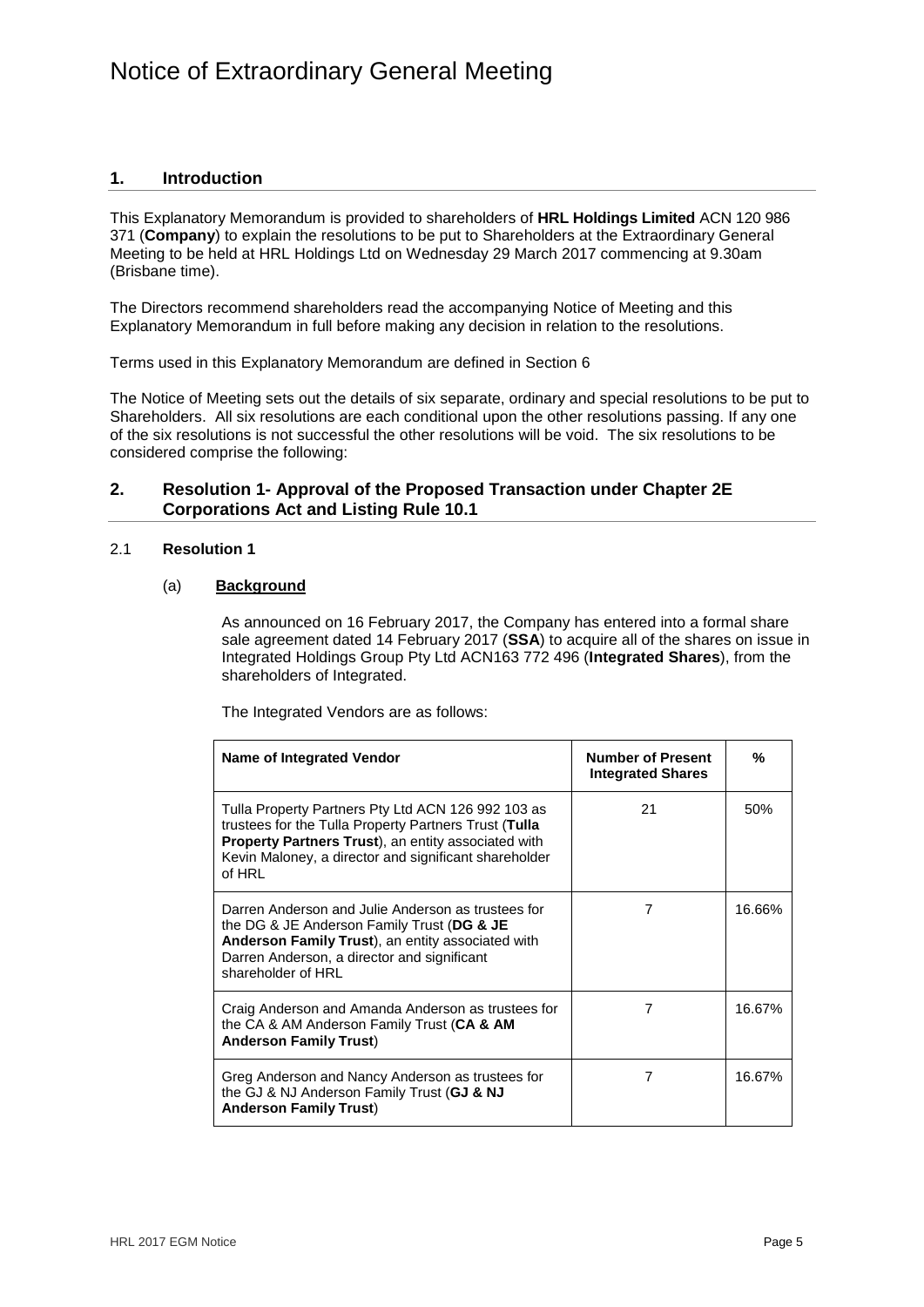## **1. Introduction**

This Explanatory Memorandum is provided to shareholders of **HRL Holdings Limited** ACN 120 986 371 (**Company**) to explain the resolutions to be put to Shareholders at the Extraordinary General Meeting to be held at HRL Holdings Ltd on Wednesday 29 March 2017 commencing at 9.30am (Brisbane time).

The Directors recommend shareholders read the accompanying Notice of Meeting and this Explanatory Memorandum in full before making any decision in relation to the resolutions.

Terms used in this Explanatory Memorandum are defined in Section 6

The Notice of Meeting sets out the details of six separate, ordinary and special resolutions to be put to Shareholders. All six resolutions are each conditional upon the other resolutions passing. If any one of the six resolutions is not successful the other resolutions will be void. The six resolutions to be considered comprise the following:

## **2. Resolution 1- Approval of the Proposed Transaction under Chapter 2E Corporations Act and Listing Rule 10.1**

### 2.1 **Resolution 1**

## (a) **Background**

As announced on 16 February 2017, the Company has entered into a formal share sale agreement dated 14 February 2017 (**SSA**) to acquire all of the shares on issue in Integrated Holdings Group Pty Ltd ACN163 772 496 (**Integrated Shares**), from the shareholders of Integrated.

The Integrated Vendors are as follows:

| Name of Integrated Vendor                                                                                                                                                                                                                     | <b>Number of Present</b><br><b>Integrated Shares</b> | %      |
|-----------------------------------------------------------------------------------------------------------------------------------------------------------------------------------------------------------------------------------------------|------------------------------------------------------|--------|
| Tulla Property Partners Pty Ltd ACN 126 992 103 as<br>trustees for the Tulla Property Partners Trust (Tulla<br><b>Property Partners Trust)</b> , an entity associated with<br>Kevin Maloney, a director and significant shareholder<br>of HRL | 21                                                   | 50%    |
| Darren Anderson and Julie Anderson as trustees for<br>the DG & JE Anderson Family Trust (DG & JE<br>Anderson Family Trust), an entity associated with<br>Darren Anderson, a director and significant<br>shareholder of HRL                    | 7                                                    | 16.66% |
| Craig Anderson and Amanda Anderson as trustees for<br>the CA & AM Anderson Family Trust (CA & AM<br><b>Anderson Family Trust)</b>                                                                                                             | 7                                                    | 16.67% |
| Greg Anderson and Nancy Anderson as trustees for<br>the GJ & NJ Anderson Family Trust (GJ & NJ<br><b>Anderson Family Trust)</b>                                                                                                               |                                                      | 16.67% |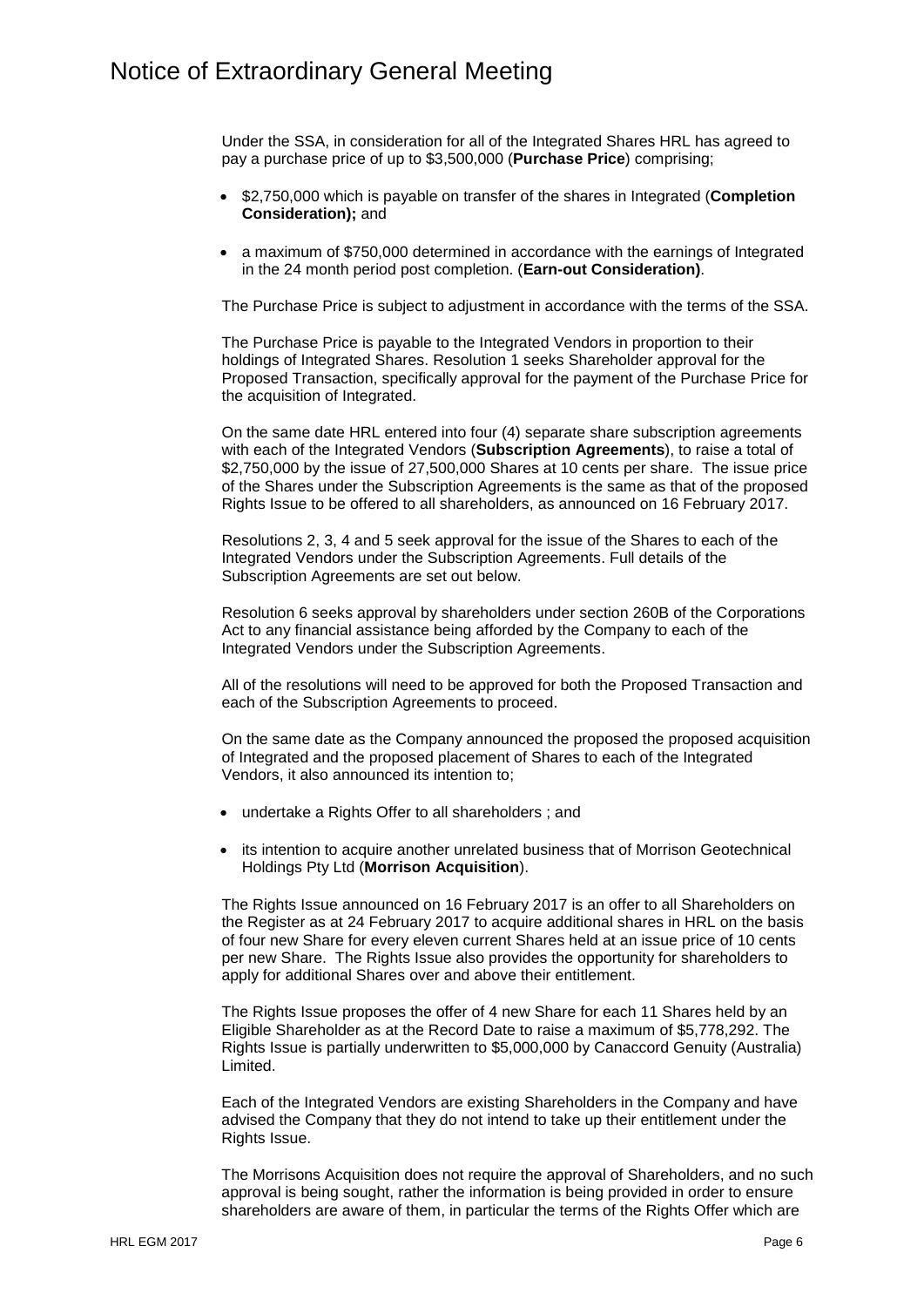Under the SSA, in consideration for all of the Integrated Shares HRL has agreed to pay a purchase price of up to \$3,500,000 (**Purchase Price**) comprising;

- \$2,750,000 which is payable on transfer of the shares in Integrated (**Completion Consideration);** and
- a maximum of \$750,000 determined in accordance with the earnings of Integrated in the 24 month period post completion. (**Earn-out Consideration)**.

The Purchase Price is subject to adjustment in accordance with the terms of the SSA.

The Purchase Price is payable to the Integrated Vendors in proportion to their holdings of Integrated Shares. Resolution 1 seeks Shareholder approval for the Proposed Transaction, specifically approval for the payment of the Purchase Price for the acquisition of Integrated.

On the same date HRL entered into four (4) separate share subscription agreements with each of the Integrated Vendors (**Subscription Agreements**), to raise a total of \$2,750,000 by the issue of 27,500,000 Shares at 10 cents per share. The issue price of the Shares under the Subscription Agreements is the same as that of the proposed Rights Issue to be offered to all shareholders, as announced on 16 February 2017.

Resolutions 2, 3, 4 and 5 seek approval for the issue of the Shares to each of the Integrated Vendors under the Subscription Agreements. Full details of the Subscription Agreements are set out below.

Resolution 6 seeks approval by shareholders under section 260B of the Corporations Act to any financial assistance being afforded by the Company to each of the Integrated Vendors under the Subscription Agreements.

All of the resolutions will need to be approved for both the Proposed Transaction and each of the Subscription Agreements to proceed.

On the same date as the Company announced the proposed the proposed acquisition of Integrated and the proposed placement of Shares to each of the Integrated Vendors, it also announced its intention to;

- undertake a Rights Offer to all shareholders ; and
- its intention to acquire another unrelated business that of Morrison Geotechnical Holdings Pty Ltd (**Morrison Acquisition**).

The Rights Issue announced on 16 February 2017 is an offer to all Shareholders on the Register as at 24 February 2017 to acquire additional shares in HRL on the basis of four new Share for every eleven current Shares held at an issue price of 10 cents per new Share. The Rights Issue also provides the opportunity for shareholders to apply for additional Shares over and above their entitlement.

The Rights Issue proposes the offer of 4 new Share for each 11 Shares held by an Eligible Shareholder as at the Record Date to raise a maximum of \$5,778,292. The Rights Issue is partially underwritten to \$5,000,000 by Canaccord Genuity (Australia) Limited.

Each of the Integrated Vendors are existing Shareholders in the Company and have advised the Company that they do not intend to take up their entitlement under the Rights Issue.

The Morrisons Acquisition does not require the approval of Shareholders, and no such approval is being sought, rather the information is being provided in order to ensure shareholders are aware of them, in particular the terms of the Rights Offer which are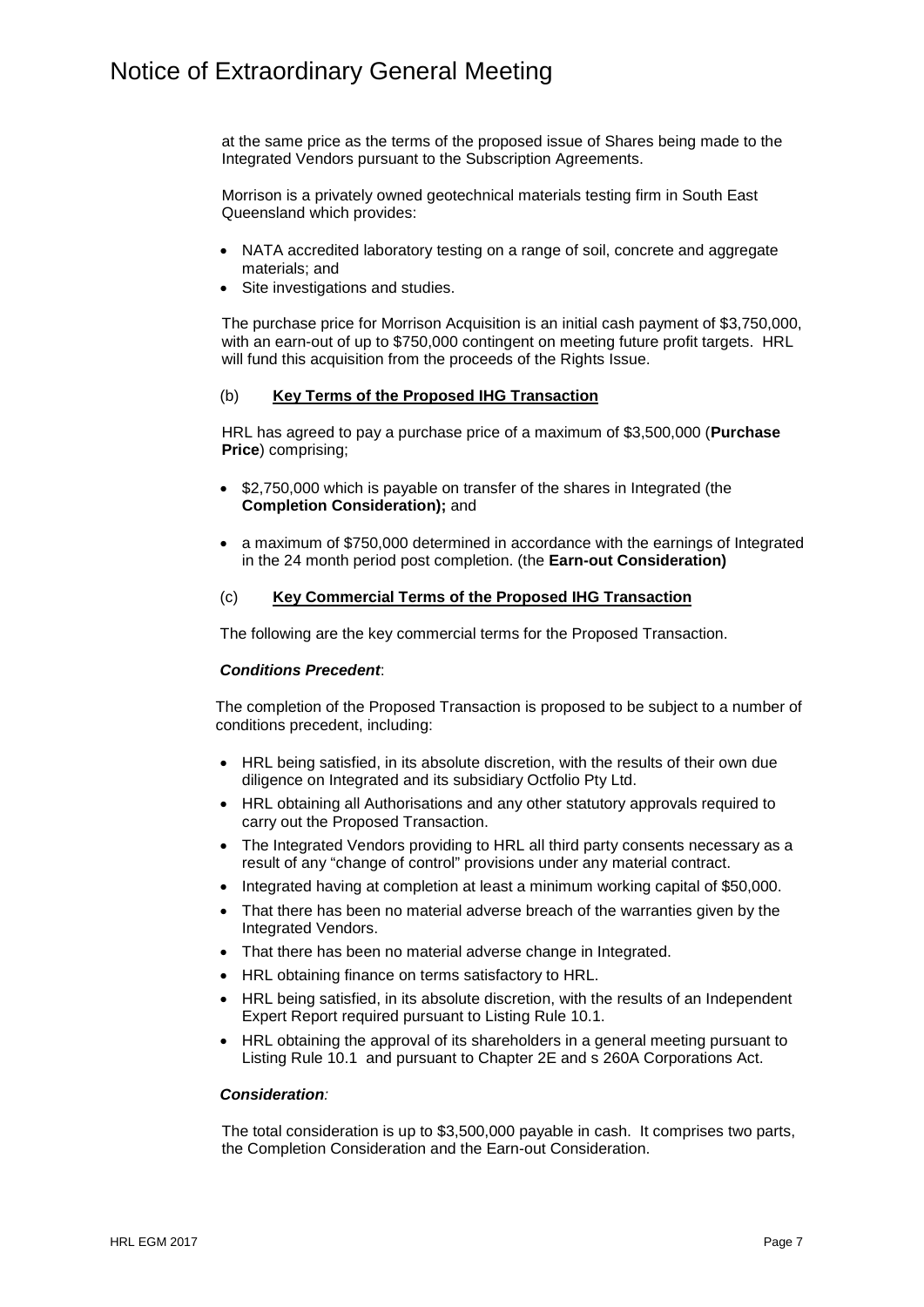at the same price as the terms of the proposed issue of Shares being made to the Integrated Vendors pursuant to the Subscription Agreements.

Morrison is a privately owned geotechnical materials testing firm in South East Queensland which provides:

- NATA accredited laboratory testing on a range of soil, concrete and aggregate materials; and
- Site investigations and studies.

The purchase price for Morrison Acquisition is an initial cash payment of \$3,750,000, with an earn-out of up to \$750,000 contingent on meeting future profit targets. HRL will fund this acquisition from the proceeds of the Rights Issue.

### (b) **Key Terms of the Proposed IHG Transaction**

HRL has agreed to pay a purchase price of a maximum of \$3,500,000 (**Purchase Price**) comprising;

- \$2,750,000 which is payable on transfer of the shares in Integrated (the **Completion Consideration);** and
- a maximum of \$750,000 determined in accordance with the earnings of Integrated in the 24 month period post completion. (the **Earn-out Consideration)**

#### (c) **Key Commercial Terms of the Proposed IHG Transaction**

The following are the key commercial terms for the Proposed Transaction.

#### *Conditions Precedent*:

The completion of the Proposed Transaction is proposed to be subject to a number of conditions precedent, including:

- HRL being satisfied, in its absolute discretion, with the results of their own due diligence on Integrated and its subsidiary Octfolio Pty Ltd.
- HRL obtaining all Authorisations and any other statutory approvals required to carry out the Proposed Transaction.
- The Integrated Vendors providing to HRL all third party consents necessary as a result of any "change of control" provisions under any material contract.
- Integrated having at completion at least a minimum working capital of \$50,000.
- That there has been no material adverse breach of the warranties given by the Integrated Vendors.
- That there has been no material adverse change in Integrated.
- HRL obtaining finance on terms satisfactory to HRL.
- HRL being satisfied, in its absolute discretion, with the results of an Independent Expert Report required pursuant to Listing Rule 10.1.
- HRL obtaining the approval of its shareholders in a general meeting pursuant to Listing Rule 10.1 and pursuant to Chapter 2E and s 260A Corporations Act.

#### *Consideration:*

The total consideration is up to \$3,500,000 payable in cash. It comprises two parts, the Completion Consideration and the Earn-out Consideration.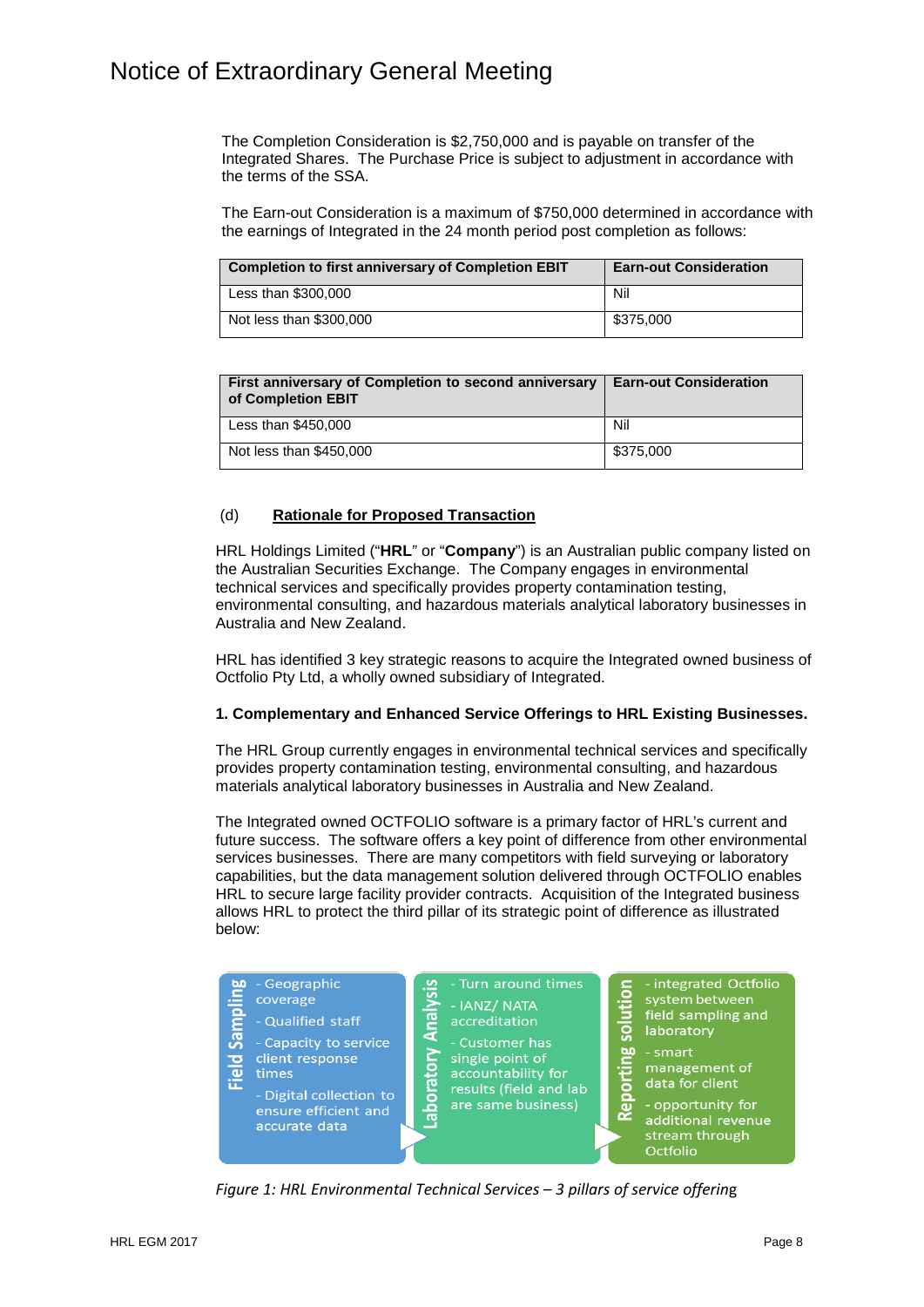The Completion Consideration is \$2,750,000 and is payable on transfer of the Integrated Shares. The Purchase Price is subject to adjustment in accordance with the terms of the SSA.

The Earn-out Consideration is a maximum of \$750,000 determined in accordance with the earnings of Integrated in the 24 month period post completion as follows:

| Completion to first anniversary of Completion EBIT | <b>Earn-out Consideration</b> |
|----------------------------------------------------|-------------------------------|
| Less than \$300,000                                | Nil                           |
| Not less than \$300,000                            | \$375,000                     |

| First anniversary of Completion to second anniversary<br>of Completion EBIT | <b>Earn-out Consideration</b> |
|-----------------------------------------------------------------------------|-------------------------------|
| Less than \$450,000                                                         | Nil                           |
| Not less than \$450,000                                                     | \$375,000                     |

### (d) **Rationale for Proposed Transaction**

HRL Holdings Limited ("**HRL**" or "**Company**") is an Australian public company listed on the Australian Securities Exchange. The Company engages in environmental technical services and specifically provides property contamination testing, environmental consulting, and hazardous materials analytical laboratory businesses in Australia and New Zealand.

HRL has identified 3 key strategic reasons to acquire the Integrated owned business of Octfolio Pty Ltd, a wholly owned subsidiary of Integrated.

#### **1. Complementary and Enhanced Service Offerings to HRL Existing Businesses.**

The HRL Group currently engages in environmental technical services and specifically provides property contamination testing, environmental consulting, and hazardous materials analytical laboratory businesses in Australia and New Zealand.

The Integrated owned OCTFOLIO software is a primary factor of HRL's current and future success. The software offers a key point of difference from other environmental services businesses. There are many competitors with field surveying or laboratory capabilities, but the data management solution delivered through OCTFOLIO enables HRL to secure large facility provider contracts. Acquisition of the Integrated business allows HRL to protect the third pillar of its strategic point of difference as illustrated below:



*Figure 1: HRL Environmental Technical Services – 3 pillars of service offerin*g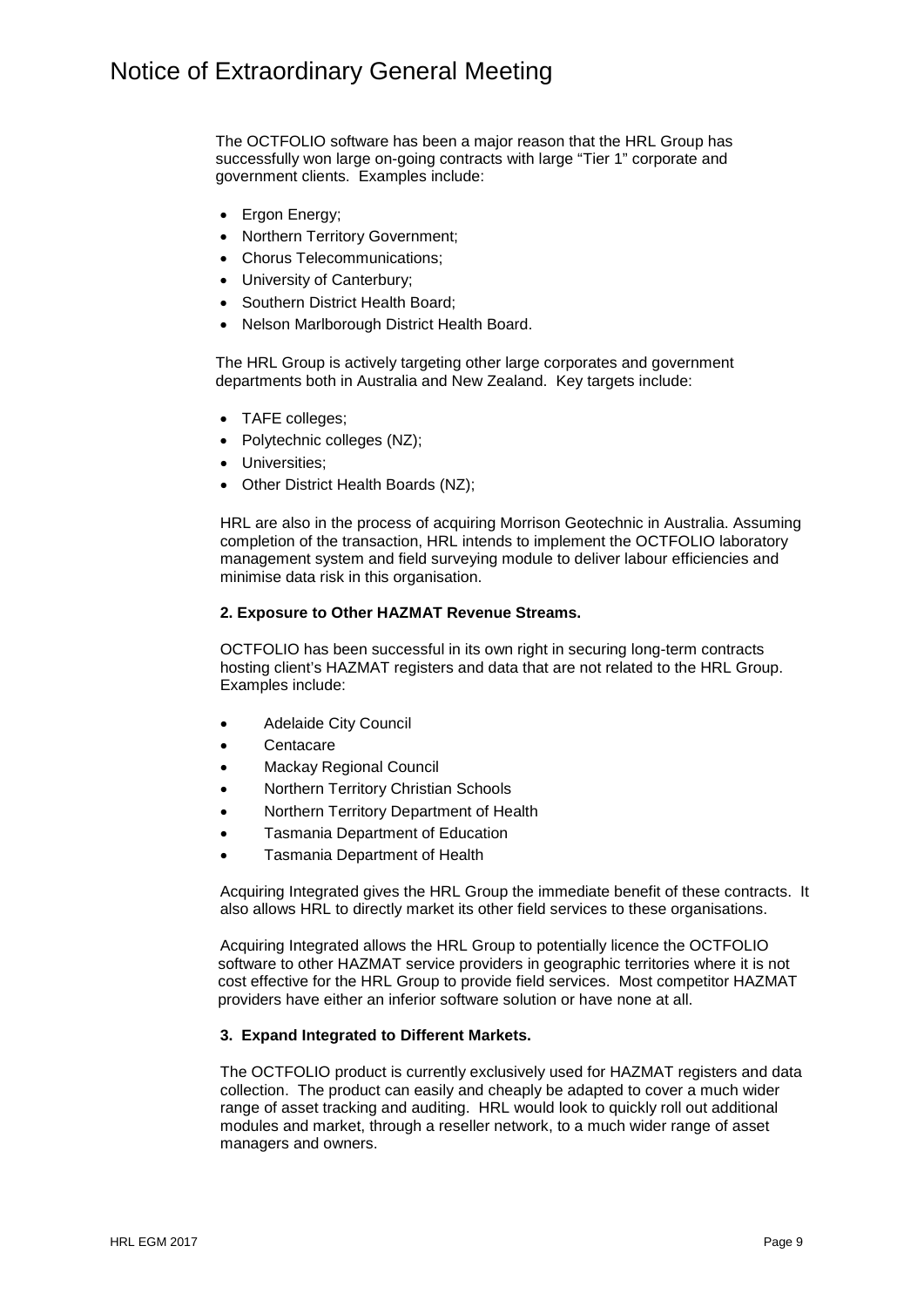The OCTFOLIO software has been a major reason that the HRL Group has successfully won large on-going contracts with large "Tier 1" corporate and government clients. Examples include:

- Ergon Energy;
- Northern Territory Government;
- Chorus Telecommunications;
- University of Canterbury;
- Southern District Health Board;
- Nelson Marlborough District Health Board.

The HRL Group is actively targeting other large corporates and government departments both in Australia and New Zealand. Key targets include:

- TAFE colleges;
- Polytechnic colleges (NZ);
- Universities;
- Other District Health Boards (NZ);

HRL are also in the process of acquiring Morrison Geotechnic in Australia. Assuming completion of the transaction, HRL intends to implement the OCTFOLIO laboratory management system and field surveying module to deliver labour efficiencies and minimise data risk in this organisation.

#### **2. Exposure to Other HAZMAT Revenue Streams.**

OCTFOLIO has been successful in its own right in securing long-term contracts hosting client's HAZMAT registers and data that are not related to the HRL Group. Examples include:

- Adelaide City Council
- Centacare
- Mackay Regional Council
- Northern Territory Christian Schools
- Northern Territory Department of Health
- Tasmania Department of Education
- Tasmania Department of Health

Acquiring Integrated gives the HRL Group the immediate benefit of these contracts. It also allows HRL to directly market its other field services to these organisations.

Acquiring Integrated allows the HRL Group to potentially licence the OCTFOLIO software to other HAZMAT service providers in geographic territories where it is not cost effective for the HRL Group to provide field services. Most competitor HAZMAT providers have either an inferior software solution or have none at all.

#### **3. Expand Integrated to Different Markets.**

The OCTFOLIO product is currently exclusively used for HAZMAT registers and data collection. The product can easily and cheaply be adapted to cover a much wider range of asset tracking and auditing. HRL would look to quickly roll out additional modules and market, through a reseller network, to a much wider range of asset managers and owners.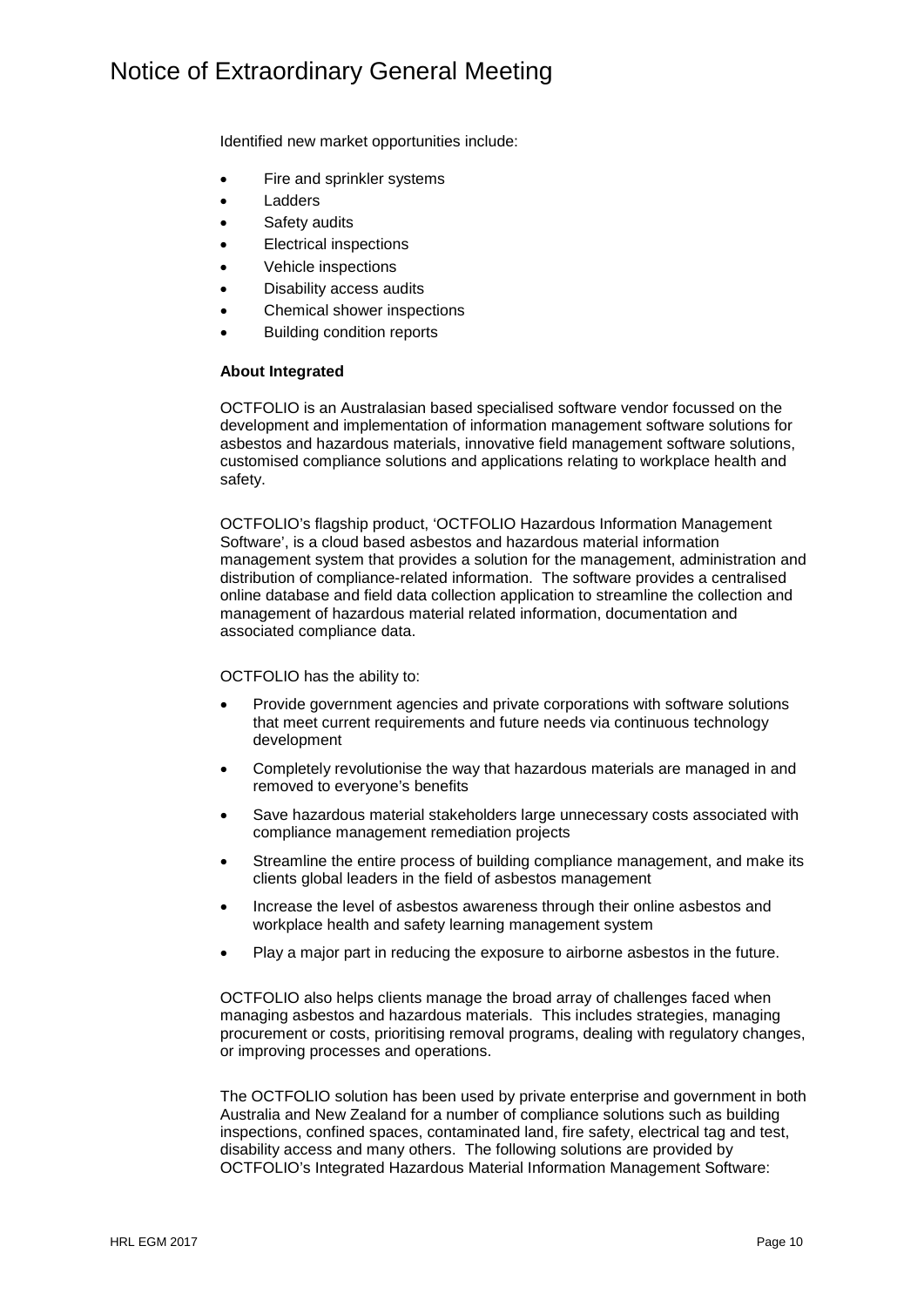Identified new market opportunities include:

- Fire and sprinkler systems
- Ladders
- Safety audits
- **Electrical inspections**
- Vehicle inspections
- Disability access audits
- Chemical shower inspections
- Building condition reports

#### **About Integrated**

OCTFOLIO is an Australasian based specialised software vendor focussed on the development and implementation of information management software solutions for asbestos and hazardous materials, innovative field management software solutions, customised compliance solutions and applications relating to workplace health and safety.

OCTFOLIO's flagship product, 'OCTFOLIO Hazardous Information Management Software', is a cloud based asbestos and hazardous material information management system that provides a solution for the management, administration and distribution of compliance-related information. The software provides a centralised online database and field data collection application to streamline the collection and management of hazardous material related information, documentation and associated compliance data.

#### OCTFOLIO has the ability to:

- Provide government agencies and private corporations with software solutions that meet current requirements and future needs via continuous technology development
- Completely revolutionise the way that hazardous materials are managed in and removed to everyone's benefits
- Save hazardous material stakeholders large unnecessary costs associated with compliance management remediation projects
- Streamline the entire process of building compliance management, and make its clients global leaders in the field of asbestos management
- Increase the level of asbestos awareness through their online asbestos and workplace health and safety learning management system
- Play a major part in reducing the exposure to airborne asbestos in the future.

OCTFOLIO also helps clients manage the broad array of challenges faced when managing asbestos and hazardous materials. This includes strategies, managing procurement or costs, prioritising removal programs, dealing with regulatory changes, or improving processes and operations.

The OCTFOLIO solution has been used by private enterprise and government in both Australia and New Zealand for a number of compliance solutions such as building inspections, confined spaces, contaminated land, fire safety, electrical tag and test, disability access and many others. The following solutions are provided by OCTFOLIO's Integrated Hazardous Material Information Management Software: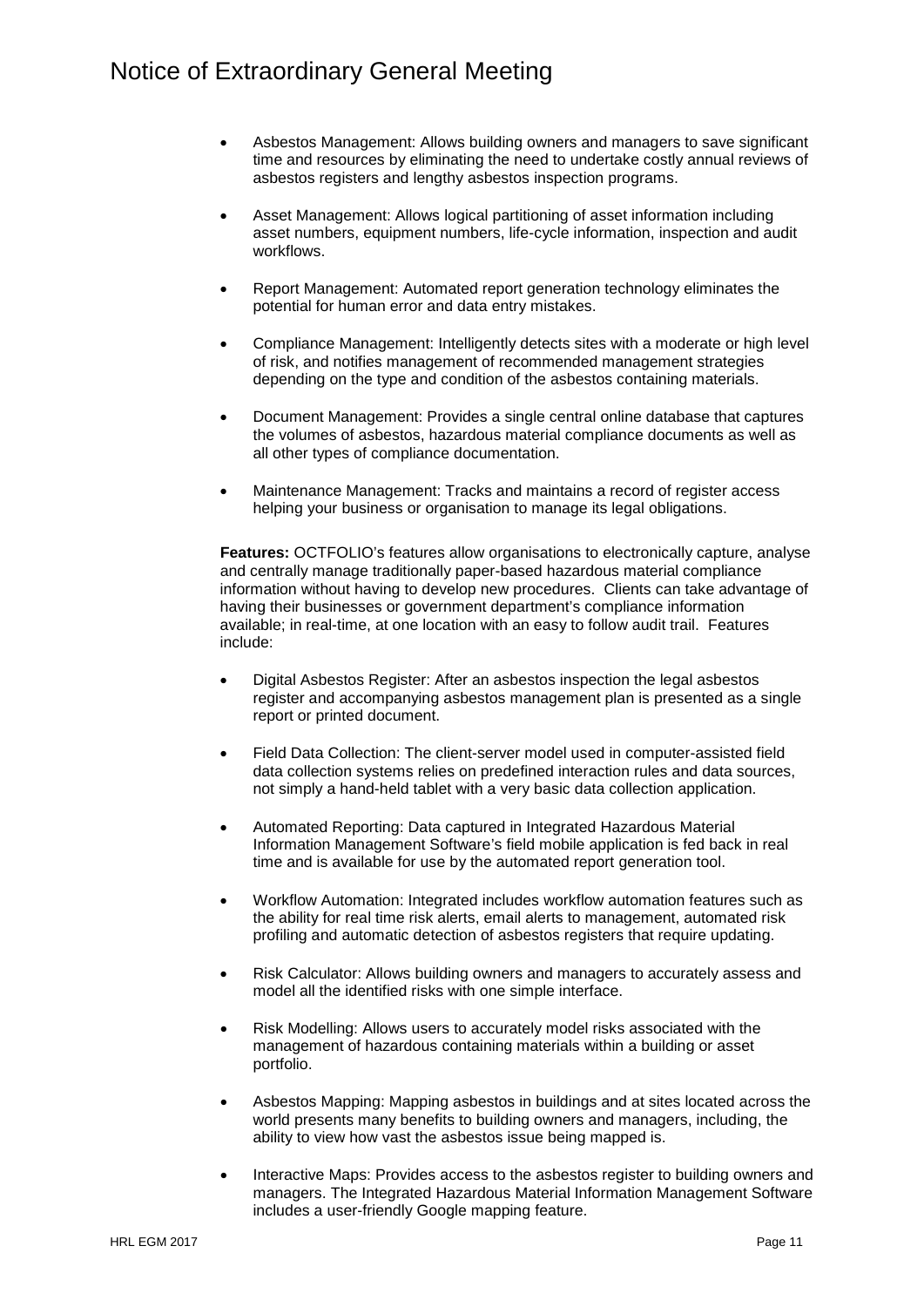- Asbestos Management: Allows building owners and managers to save significant time and resources by eliminating the need to undertake costly annual reviews of asbestos registers and lengthy asbestos inspection programs.
- Asset Management: Allows logical partitioning of asset information including asset numbers, equipment numbers, life-cycle information, inspection and audit workflows.
- Report Management: Automated report generation technology eliminates the potential for human error and data entry mistakes.
- Compliance Management: Intelligently detects sites with a moderate or high level of risk, and notifies management of recommended management strategies depending on the type and condition of the asbestos containing materials.
- Document Management: Provides a single central online database that captures the volumes of asbestos, hazardous material compliance documents as well as all other types of compliance documentation.
- Maintenance Management: Tracks and maintains a record of register access helping your business or organisation to manage its legal obligations.

**Features:** OCTFOLIO's features allow organisations to electronically capture, analyse and centrally manage traditionally paper-based hazardous material compliance information without having to develop new procedures. Clients can take advantage of having their businesses or government department's compliance information available; in real-time, at one location with an easy to follow audit trail. Features include:

- Digital Asbestos Register: After an asbestos inspection the legal asbestos register and accompanying asbestos management plan is presented as a single report or printed document.
- Field Data Collection: The client-server model used in computer-assisted field data collection systems relies on predefined interaction rules and data sources, not simply a hand-held tablet with a very basic data collection application.
- Automated Reporting: Data captured in Integrated Hazardous Material Information Management Software's field mobile application is fed back in real time and is available for use by the automated report generation tool.
- Workflow Automation: Integrated includes workflow automation features such as the ability for real time risk alerts, email alerts to management, automated risk profiling and automatic detection of asbestos registers that require updating.
- Risk Calculator: Allows building owners and managers to accurately assess and model all the identified risks with one simple interface.
- Risk Modelling: Allows users to accurately model risks associated with the management of hazardous containing materials within a building or asset portfolio.
- Asbestos Mapping: Mapping asbestos in buildings and at sites located across the world presents many benefits to building owners and managers, including, the ability to view how vast the asbestos issue being mapped is.
- Interactive Maps: Provides access to the asbestos register to building owners and managers. The Integrated Hazardous Material Information Management Software includes a user-friendly Google mapping feature.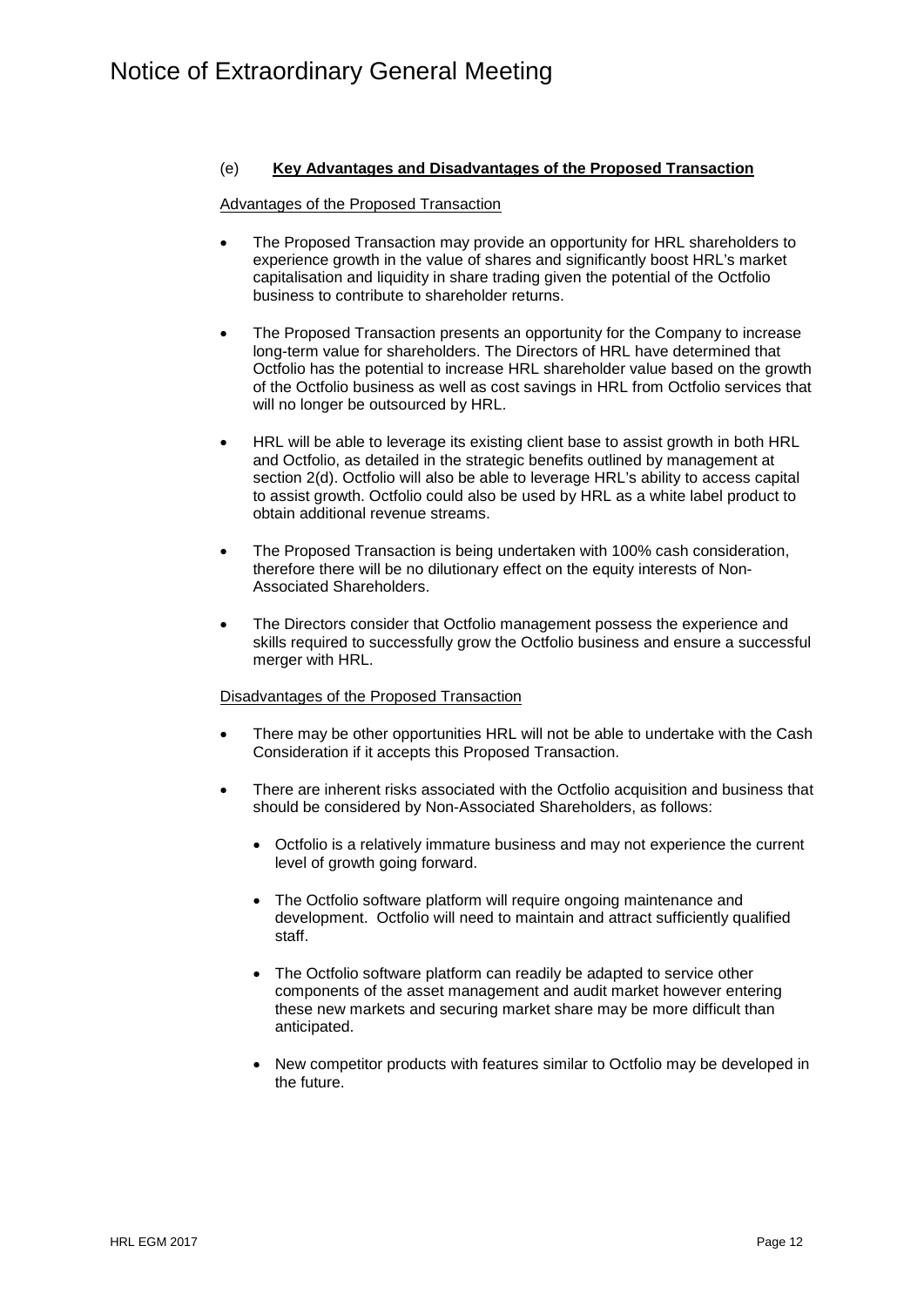## (e) **Key Advantages and Disadvantages of the Proposed Transaction**

### Advantages of the Proposed Transaction

- The Proposed Transaction may provide an opportunity for HRL shareholders to experience growth in the value of shares and significantly boost HRL's market capitalisation and liquidity in share trading given the potential of the Octfolio business to contribute to shareholder returns.
- The Proposed Transaction presents an opportunity for the Company to increase long-term value for shareholders. The Directors of HRL have determined that Octfolio has the potential to increase HRL shareholder value based on the growth of the Octfolio business as well as cost savings in HRL from Octfolio services that will no longer be outsourced by HRL.
- HRL will be able to leverage its existing client base to assist growth in both HRL and Octfolio, as detailed in the strategic benefits outlined by management at section 2(d). Octfolio will also be able to leverage HRL's ability to access capital to assist growth. Octfolio could also be used by HRL as a white label product to obtain additional revenue streams.
- The Proposed Transaction is being undertaken with 100% cash consideration, therefore there will be no dilutionary effect on the equity interests of Non-Associated Shareholders.
- The Directors consider that Octfolio management possess the experience and skills required to successfully grow the Octfolio business and ensure a successful merger with HRL.

## Disadvantages of the Proposed Transaction

- There may be other opportunities HRL will not be able to undertake with the Cash Consideration if it accepts this Proposed Transaction.
- There are inherent risks associated with the Octfolio acquisition and business that should be considered by Non-Associated Shareholders, as follows:
	- Octfolio is a relatively immature business and may not experience the current level of growth going forward.
	- The Octfolio software platform will require ongoing maintenance and development. Octfolio will need to maintain and attract sufficiently qualified staff.
	- The Octfolio software platform can readily be adapted to service other components of the asset management and audit market however entering these new markets and securing market share may be more difficult than anticipated.
	- New competitor products with features similar to Octfolio may be developed in the future.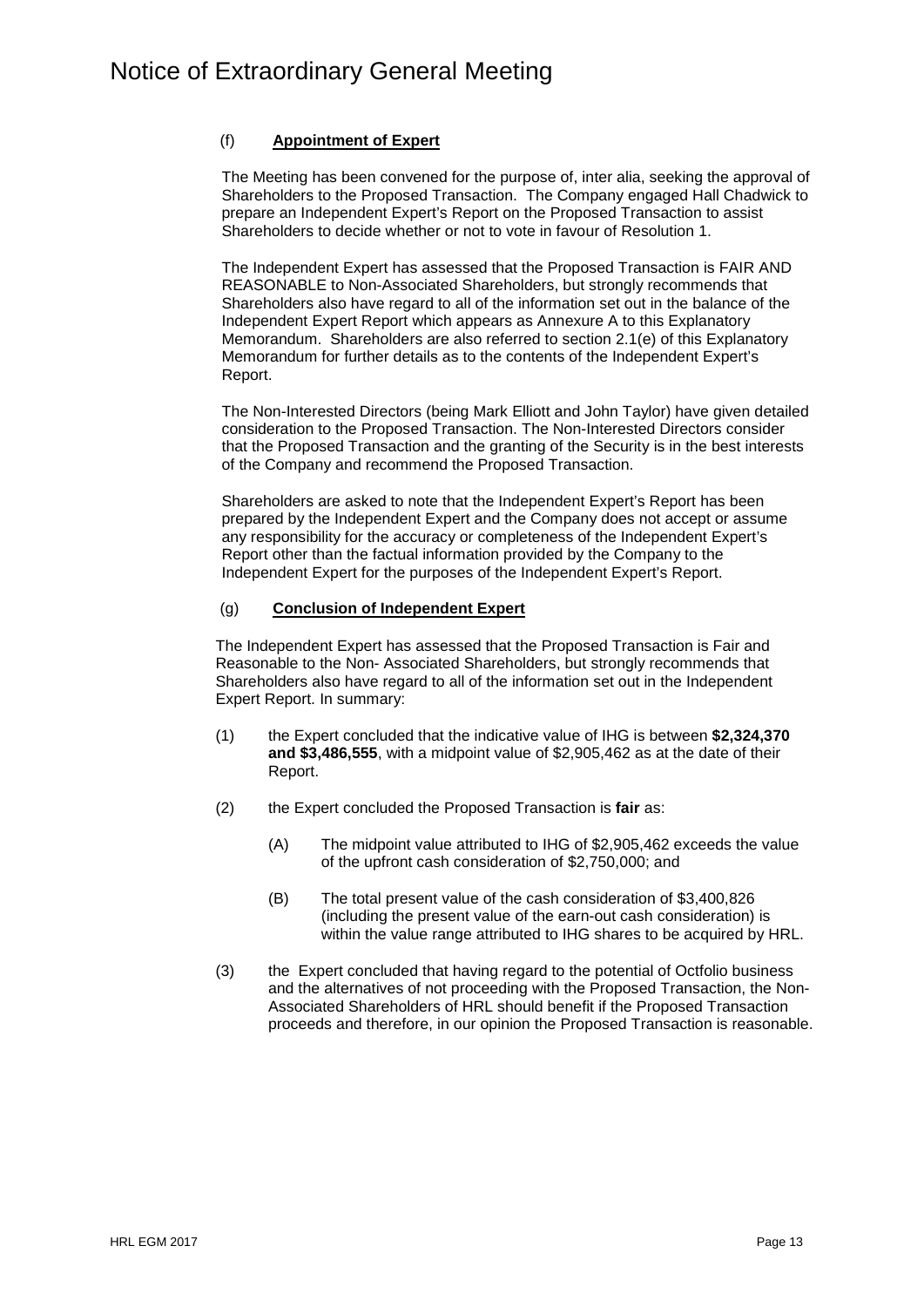## (f) **Appointment of Expert**

The Meeting has been convened for the purpose of, inter alia, seeking the approval of Shareholders to the Proposed Transaction. The Company engaged Hall Chadwick to prepare an Independent Expert's Report on the Proposed Transaction to assist Shareholders to decide whether or not to vote in favour of Resolution 1.

The Independent Expert has assessed that the Proposed Transaction is FAIR AND REASONABLE to Non-Associated Shareholders, but strongly recommends that Shareholders also have regard to all of the information set out in the balance of the Independent Expert Report which appears as Annexure A to this Explanatory Memorandum. Shareholders are also referred to section 2.1(e) of this Explanatory Memorandum for further details as to the contents of the Independent Expert's Report.

The Non-Interested Directors (being Mark Elliott and John Taylor) have given detailed consideration to the Proposed Transaction. The Non-Interested Directors consider that the Proposed Transaction and the granting of the Security is in the best interests of the Company and recommend the Proposed Transaction.

Shareholders are asked to note that the Independent Expert's Report has been prepared by the Independent Expert and the Company does not accept or assume any responsibility for the accuracy or completeness of the Independent Expert's Report other than the factual information provided by the Company to the Independent Expert for the purposes of the Independent Expert's Report.

## (g) **Conclusion of Independent Expert**

The Independent Expert has assessed that the Proposed Transaction is Fair and Reasonable to the Non- Associated Shareholders, but strongly recommends that Shareholders also have regard to all of the information set out in the Independent Expert Report. In summary:

- (1) the Expert concluded that the indicative value of IHG is between **\$2,324,370 and \$3,486,555**, with a midpoint value of \$2,905,462 as at the date of their Report.
- (2) the Expert concluded the Proposed Transaction is **fair** as:
	- (A) The midpoint value attributed to IHG of \$2,905,462 exceeds the value of the upfront cash consideration of \$2,750,000; and
	- (B) The total present value of the cash consideration of \$3,400,826 (including the present value of the earn-out cash consideration) is within the value range attributed to IHG shares to be acquired by HRL.
- (3) the Expert concluded that having regard to the potential of Octfolio business and the alternatives of not proceeding with the Proposed Transaction, the Non-Associated Shareholders of HRL should benefit if the Proposed Transaction proceeds and therefore, in our opinion the Proposed Transaction is reasonable.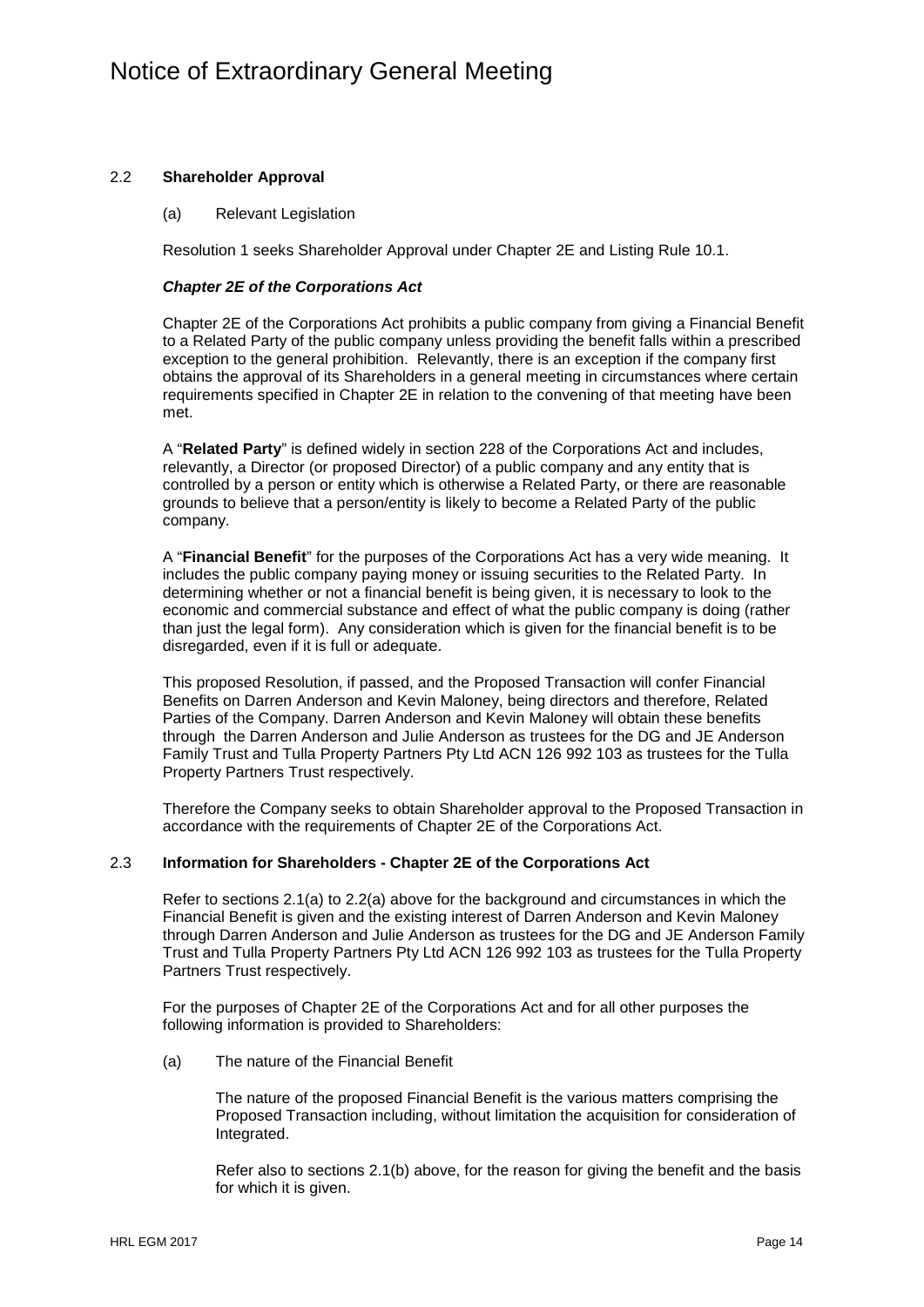## 2.2 **Shareholder Approval**

(a) Relevant Legislation

Resolution 1 seeks Shareholder Approval under Chapter 2E and Listing Rule 10.1.

### *Chapter 2E of the Corporations Act*

Chapter 2E of the Corporations Act prohibits a public company from giving a Financial Benefit to a Related Party of the public company unless providing the benefit falls within a prescribed exception to the general prohibition. Relevantly, there is an exception if the company first obtains the approval of its Shareholders in a general meeting in circumstances where certain requirements specified in Chapter 2E in relation to the convening of that meeting have been met.

A "**Related Party**" is defined widely in section 228 of the Corporations Act and includes, relevantly, a Director (or proposed Director) of a public company and any entity that is controlled by a person or entity which is otherwise a Related Party, or there are reasonable grounds to believe that a person/entity is likely to become a Related Party of the public company.

A "**Financial Benefit**" for the purposes of the Corporations Act has a very wide meaning. It includes the public company paying money or issuing securities to the Related Party. In determining whether or not a financial benefit is being given, it is necessary to look to the economic and commercial substance and effect of what the public company is doing (rather than just the legal form). Any consideration which is given for the financial benefit is to be disregarded, even if it is full or adequate.

This proposed Resolution, if passed, and the Proposed Transaction will confer Financial Benefits on Darren Anderson and Kevin Maloney, being directors and therefore, Related Parties of the Company. Darren Anderson and Kevin Maloney will obtain these benefits through the Darren Anderson and Julie Anderson as trustees for the DG and JE Anderson Family Trust and Tulla Property Partners Pty Ltd ACN 126 992 103 as trustees for the Tulla Property Partners Trust respectively.

Therefore the Company seeks to obtain Shareholder approval to the Proposed Transaction in accordance with the requirements of Chapter 2E of the Corporations Act.

### 2.3 **Information for Shareholders - Chapter 2E of the Corporations Act**

Refer to sections 2.1(a) to 2.2(a) above for the background and circumstances in which the Financial Benefit is given and the existing interest of Darren Anderson and Kevin Maloney through Darren Anderson and Julie Anderson as trustees for the DG and JE Anderson Family Trust and Tulla Property Partners Pty Ltd ACN 126 992 103 as trustees for the Tulla Property Partners Trust respectively.

For the purposes of Chapter 2E of the Corporations Act and for all other purposes the following information is provided to Shareholders:

(a) The nature of the Financial Benefit

The nature of the proposed Financial Benefit is the various matters comprising the Proposed Transaction including, without limitation the acquisition for consideration of Integrated.

Refer also to sections 2.1(b) above, for the reason for giving the benefit and the basis for which it is given.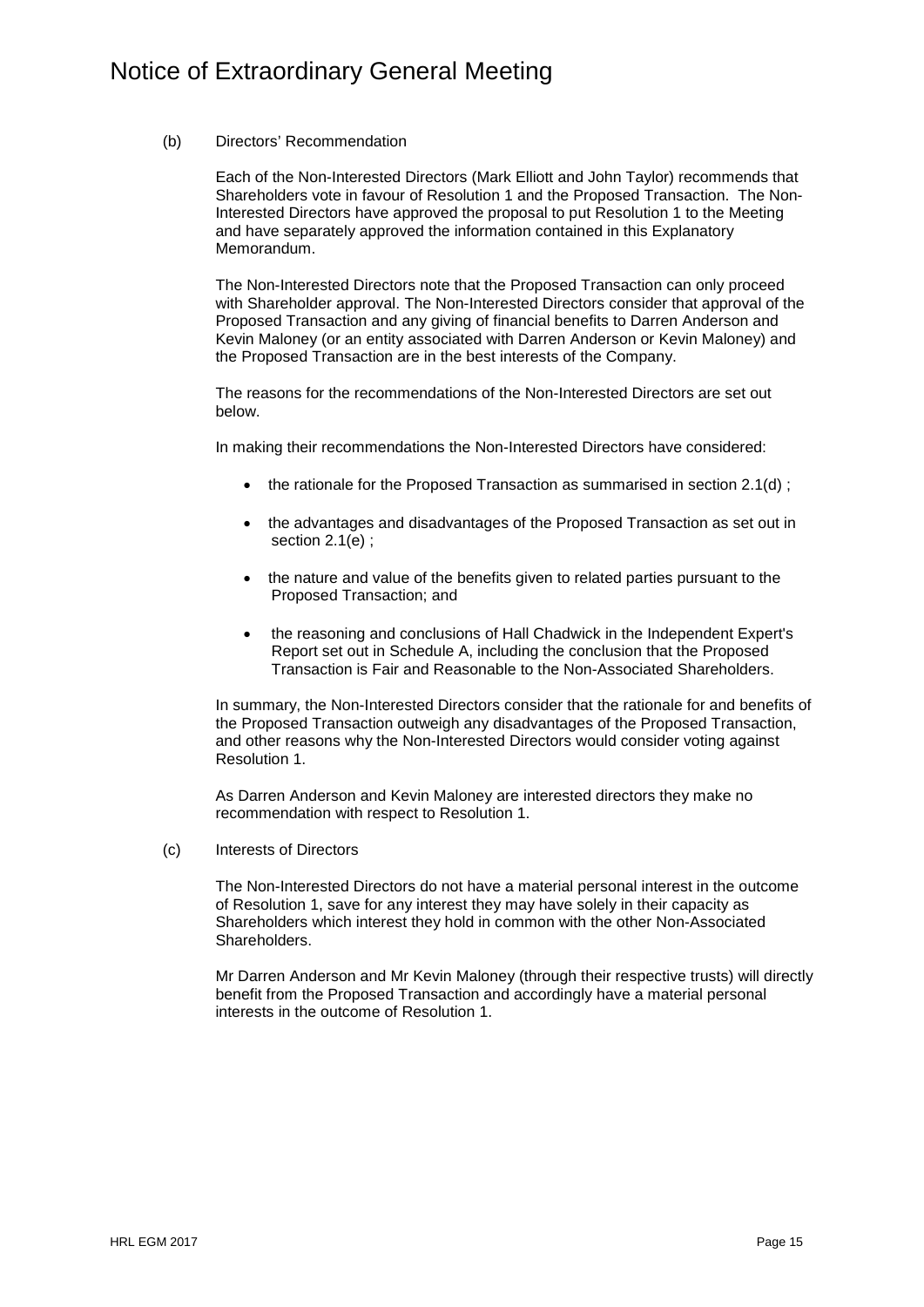### (b) Directors' Recommendation

Each of the Non-Interested Directors (Mark Elliott and John Taylor) recommends that Shareholders vote in favour of Resolution 1 and the Proposed Transaction. The Non-Interested Directors have approved the proposal to put Resolution 1 to the Meeting and have separately approved the information contained in this Explanatory Memorandum.

The Non-Interested Directors note that the Proposed Transaction can only proceed with Shareholder approval. The Non-Interested Directors consider that approval of the Proposed Transaction and any giving of financial benefits to Darren Anderson and Kevin Maloney (or an entity associated with Darren Anderson or Kevin Maloney) and the Proposed Transaction are in the best interests of the Company.

The reasons for the recommendations of the Non-Interested Directors are set out below.

In making their recommendations the Non-Interested Directors have considered:

- the rationale for the Proposed Transaction as summarised in section 2.1(d) :
- the advantages and disadvantages of the Proposed Transaction as set out in section 2.1(e) ;
- the nature and value of the benefits given to related parties pursuant to the Proposed Transaction; and
- the reasoning and conclusions of Hall Chadwick in the Independent Expert's Report set out in Schedule A, including the conclusion that the Proposed Transaction is Fair and Reasonable to the Non-Associated Shareholders.

In summary, the Non-Interested Directors consider that the rationale for and benefits of the Proposed Transaction outweigh any disadvantages of the Proposed Transaction, and other reasons why the Non-Interested Directors would consider voting against Resolution 1.

As Darren Anderson and Kevin Maloney are interested directors they make no recommendation with respect to Resolution 1.

(c) Interests of Directors

The Non-Interested Directors do not have a material personal interest in the outcome of Resolution 1, save for any interest they may have solely in their capacity as Shareholders which interest they hold in common with the other Non-Associated Shareholders.

Mr Darren Anderson and Mr Kevin Maloney (through their respective trusts) will directly benefit from the Proposed Transaction and accordingly have a material personal interests in the outcome of Resolution 1.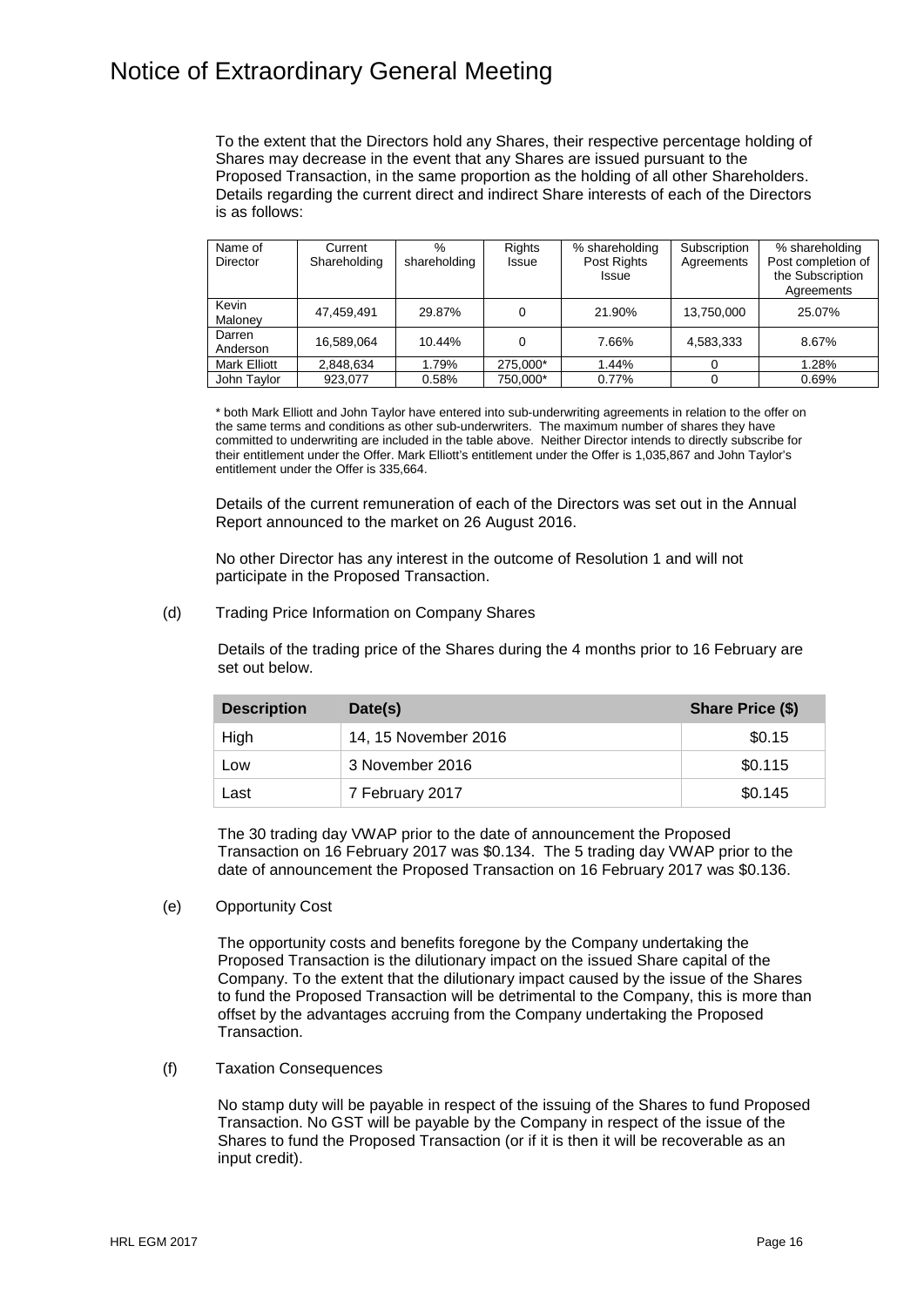To the extent that the Directors hold any Shares, their respective percentage holding of Shares may decrease in the event that any Shares are issued pursuant to the Proposed Transaction, in the same proportion as the holding of all other Shareholders. Details regarding the current direct and indirect Share interests of each of the Directors is as follows:

| Name of             | Current      | $\%$         | <b>Rights</b> | % shareholding | Subscription | % shareholding     |
|---------------------|--------------|--------------|---------------|----------------|--------------|--------------------|
| <b>Director</b>     | Shareholding | shareholding | Issue         | Post Rights    | Agreements   | Post completion of |
|                     |              |              |               | <b>Issue</b>   |              | the Subscription   |
|                     |              |              |               |                |              | Agreements         |
| Kevin               | 47.459.491   | 29.87%       |               | 21.90%         | 13,750,000   | 25.07%             |
| Maloney             |              |              |               |                |              |                    |
| Darren              | 16.589.064   | 10.44%       |               | 7.66%          | 4,583,333    | 8.67%              |
| Anderson            |              |              |               |                |              |                    |
| <b>Mark Elliott</b> | 2,848,634    | 1.79%        | 275.000*      | 1.44%          | $\mathbf{0}$ | 1.28%              |
| John Taylor         | 923.077      | 0.58%        | 750.000*      | 0.77%          |              | 0.69%              |

\* both Mark Elliott and John Taylor have entered into sub-underwriting agreements in relation to the offer on the same terms and conditions as other sub-underwriters. The maximum number of shares they have committed to underwriting are included in the table above. Neither Director intends to directly subscribe for their entitlement under the Offer. Mark Elliott's entitlement under the Offer is 1,035,867 and John Taylor's entitlement under the Offer is 335,664.

Details of the current remuneration of each of the Directors was set out in the Annual Report announced to the market on 26 August 2016.

No other Director has any interest in the outcome of Resolution 1 and will not participate in the Proposed Transaction.

(d) Trading Price Information on Company Shares

Details of the trading price of the Shares during the 4 months prior to 16 February are set out below.

| <b>Description</b> | Date(s)              | Share Price (\$) |
|--------------------|----------------------|------------------|
| High               | 14, 15 November 2016 | \$0.15           |
| Low                | 3 November 2016      | \$0.115          |
| Last               | 7 February 2017      | \$0.145          |

The 30 trading day VWAP prior to the date of announcement the Proposed Transaction on 16 February 2017 was \$0.134. The 5 trading day VWAP prior to the date of announcement the Proposed Transaction on 16 February 2017 was \$0.136.

(e) Opportunity Cost

The opportunity costs and benefits foregone by the Company undertaking the Proposed Transaction is the dilutionary impact on the issued Share capital of the Company. To the extent that the dilutionary impact caused by the issue of the Shares to fund the Proposed Transaction will be detrimental to the Company, this is more than offset by the advantages accruing from the Company undertaking the Proposed Transaction.

(f) Taxation Consequences

No stamp duty will be payable in respect of the issuing of the Shares to fund Proposed Transaction. No GST will be payable by the Company in respect of the issue of the Shares to fund the Proposed Transaction (or if it is then it will be recoverable as an input credit).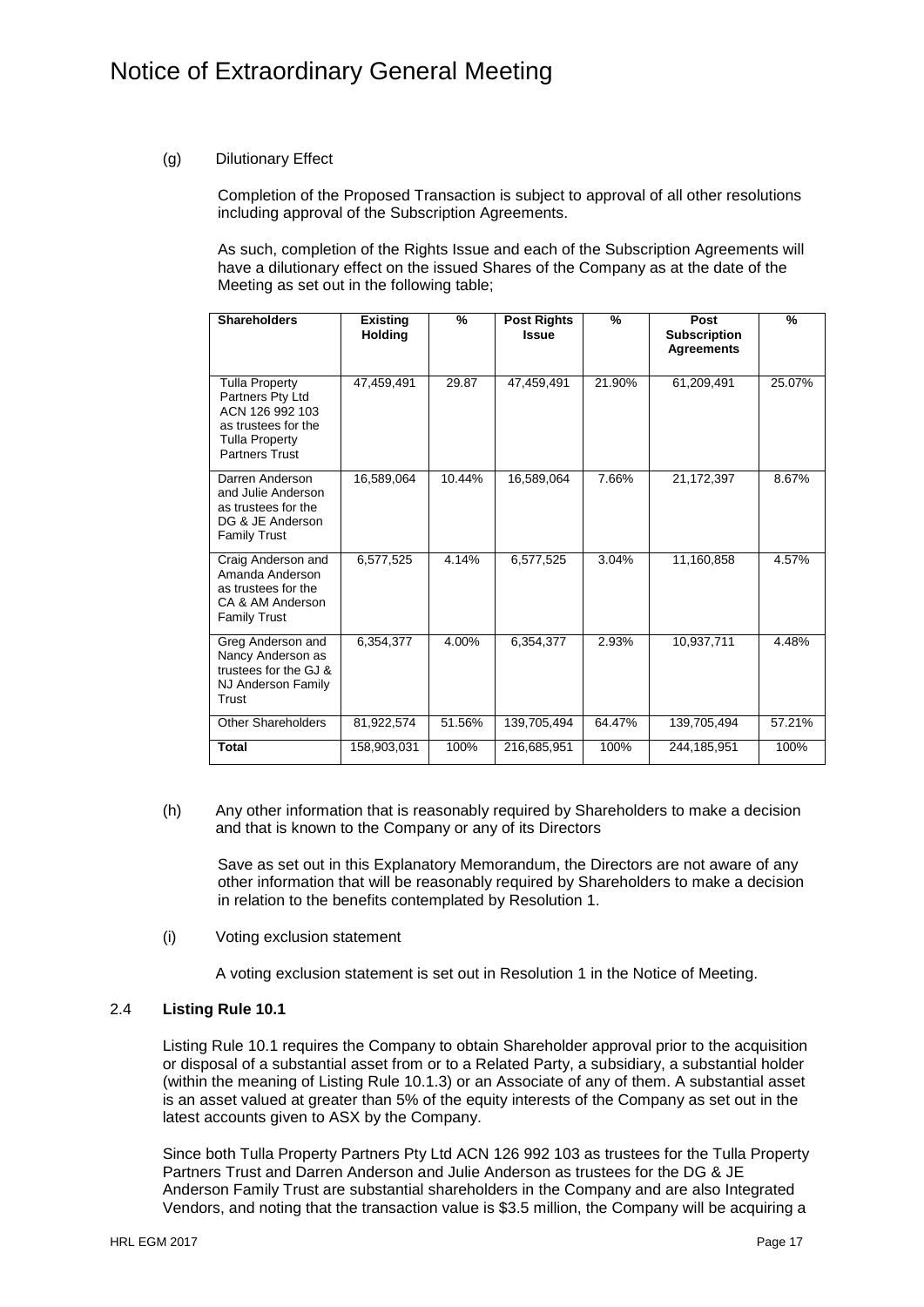## (g) Dilutionary Effect

Completion of the Proposed Transaction is subject to approval of all other resolutions including approval of the Subscription Agreements.

As such, completion of the Rights Issue and each of the Subscription Agreements will have a dilutionary effect on the issued Shares of the Company as at the date of the Meeting as set out in the following table;

| <b>Shareholders</b>                                                                                                                   | <b>Existing</b><br><b>Holding</b> | %      | <b>Post Rights</b><br><b>Issue</b> | %      | Post<br><b>Subscription</b><br><b>Agreements</b> | %      |
|---------------------------------------------------------------------------------------------------------------------------------------|-----------------------------------|--------|------------------------------------|--------|--------------------------------------------------|--------|
| <b>Tulla Property</b><br>Partners Pty Ltd<br>ACN 126 992 103<br>as trustees for the<br><b>Tulla Property</b><br><b>Partners Trust</b> | 47,459,491                        | 29.87  | 47,459,491                         | 21.90% | 61,209,491                                       | 25.07% |
| Darren Anderson<br>and Julie Anderson<br>as trustees for the<br>DG & JE Anderson<br><b>Family Trust</b>                               | 16,589,064                        | 10.44% | 16,589,064                         | 7.66%  | 21,172,397                                       | 8.67%  |
| Craig Anderson and<br>Amanda Anderson<br>as trustees for the<br>CA & AM Anderson<br><b>Family Trust</b>                               | 6,577,525                         | 4.14%  | 6,577,525                          | 3.04%  | 11.160.858                                       | 4.57%  |
| Greg Anderson and<br>Nancy Anderson as<br>trustees for the GJ &<br>NJ Anderson Family<br>Trust                                        | 6,354,377                         | 4.00%  | 6,354,377                          | 2.93%  | 10,937,711                                       | 4.48%  |
| Other Shareholders                                                                                                                    | 81,922,574                        | 51.56% | 139,705,494                        | 64.47% | 139.705.494                                      | 57.21% |
| <b>Total</b>                                                                                                                          | 158,903,031                       | 100%   | 216,685,951                        | 100%   | 244,185,951                                      | 100%   |

(h) Any other information that is reasonably required by Shareholders to make a decision and that is known to the Company or any of its Directors

Save as set out in this Explanatory Memorandum, the Directors are not aware of any other information that will be reasonably required by Shareholders to make a decision in relation to the benefits contemplated by Resolution 1.

(i) Voting exclusion statement

A voting exclusion statement is set out in Resolution 1 in the Notice of Meeting.

### 2.4 **Listing Rule 10.1**

Listing Rule 10.1 requires the Company to obtain Shareholder approval prior to the acquisition or disposal of a substantial asset from or to a Related Party, a subsidiary, a substantial holder (within the meaning of Listing Rule 10.1.3) or an Associate of any of them. A substantial asset is an asset valued at greater than 5% of the equity interests of the Company as set out in the latest accounts given to ASX by the Company.

Since both Tulla Property Partners Pty Ltd ACN 126 992 103 as trustees for the Tulla Property Partners Trust and Darren Anderson and Julie Anderson as trustees for the DG & JE Anderson Family Trust are substantial shareholders in the Company and are also Integrated Vendors, and noting that the transaction value is \$3.5 million, the Company will be acquiring a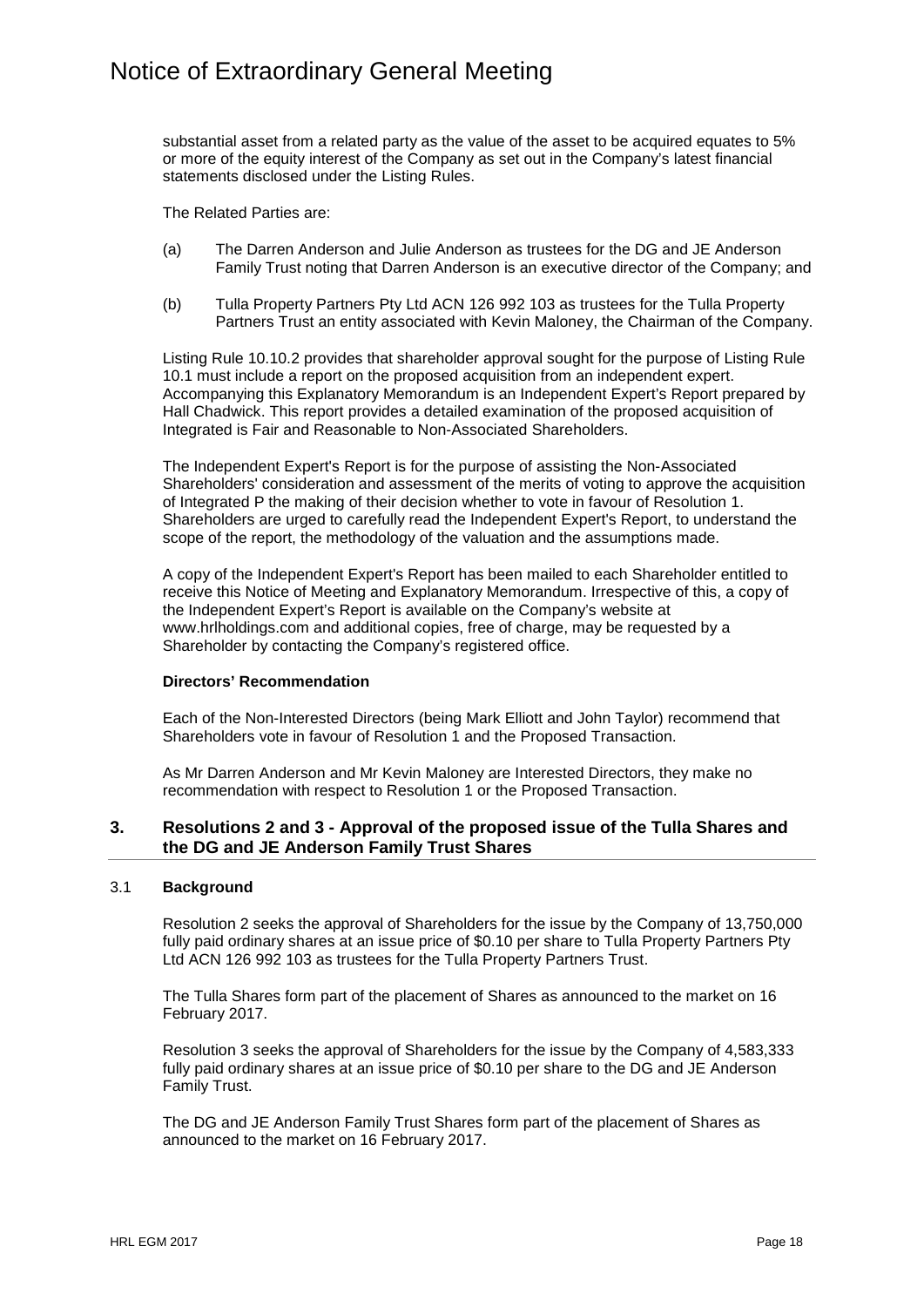substantial asset from a related party as the value of the asset to be acquired equates to 5% or more of the equity interest of the Company as set out in the Company's latest financial statements disclosed under the Listing Rules.

The Related Parties are:

- (a) The Darren Anderson and Julie Anderson as trustees for the DG and JE Anderson Family Trust noting that Darren Anderson is an executive director of the Company; and
- (b) Tulla Property Partners Pty Ltd ACN 126 992 103 as trustees for the Tulla Property Partners Trust an entity associated with Kevin Maloney, the Chairman of the Company.

Listing Rule 10.10.2 provides that shareholder approval sought for the purpose of Listing Rule 10.1 must include a report on the proposed acquisition from an independent expert. Accompanying this Explanatory Memorandum is an Independent Expert's Report prepared by Hall Chadwick. This report provides a detailed examination of the proposed acquisition of Integrated is Fair and Reasonable to Non-Associated Shareholders.

The Independent Expert's Report is for the purpose of assisting the Non-Associated Shareholders' consideration and assessment of the merits of voting to approve the acquisition of Integrated P the making of their decision whether to vote in favour of Resolution 1. Shareholders are urged to carefully read the Independent Expert's Report, to understand the scope of the report, the methodology of the valuation and the assumptions made.

A copy of the Independent Expert's Report has been mailed to each Shareholder entitled to receive this Notice of Meeting and Explanatory Memorandum. Irrespective of this, a copy of the Independent Expert's Report is available on the Company's website at www.hrlholdings.com and additional copies, free of charge, may be requested by a Shareholder by contacting the Company's registered office.

#### **Directors' Recommendation**

Each of the Non-Interested Directors (being Mark Elliott and John Taylor) recommend that Shareholders vote in favour of Resolution 1 and the Proposed Transaction.

As Mr Darren Anderson and Mr Kevin Maloney are Interested Directors, they make no recommendation with respect to Resolution 1 or the Proposed Transaction.

## **3. Resolutions 2 and 3 - Approval of the proposed issue of the Tulla Shares and the DG and JE Anderson Family Trust Shares**

#### 3.1 **Background**

Resolution 2 seeks the approval of Shareholders for the issue by the Company of 13,750,000 fully paid ordinary shares at an issue price of \$0.10 per share to Tulla Property Partners Pty Ltd ACN 126 992 103 as trustees for the Tulla Property Partners Trust.

The Tulla Shares form part of the placement of Shares as announced to the market on 16 February 2017.

Resolution 3 seeks the approval of Shareholders for the issue by the Company of 4,583,333 fully paid ordinary shares at an issue price of \$0.10 per share to the DG and JE Anderson Family Trust.

The DG and JE Anderson Family Trust Shares form part of the placement of Shares as announced to the market on 16 February 2017.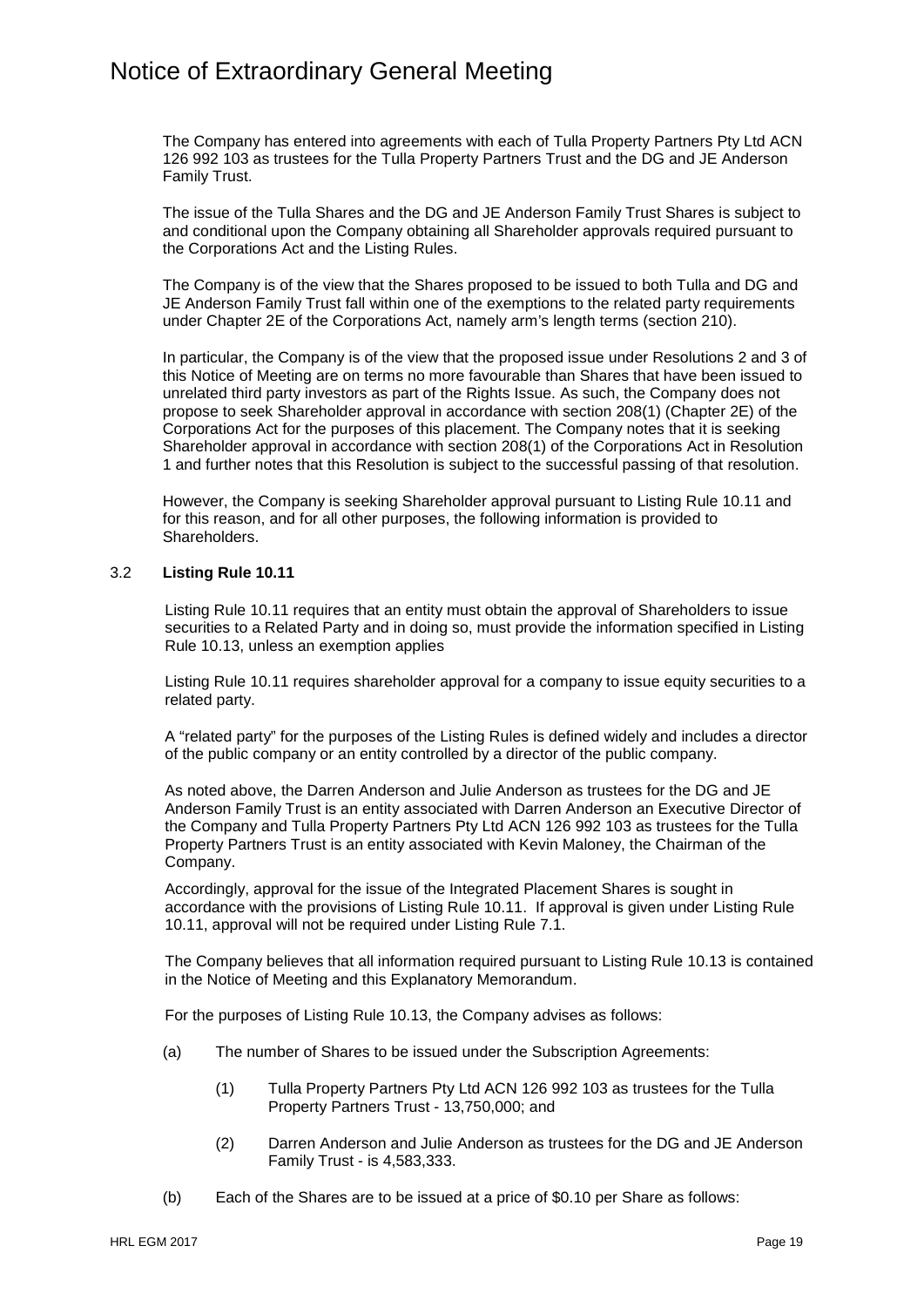The Company has entered into agreements with each of Tulla Property Partners Pty Ltd ACN 126 992 103 as trustees for the Tulla Property Partners Trust and the DG and JE Anderson Family Trust.

The issue of the Tulla Shares and the DG and JE Anderson Family Trust Shares is subject to and conditional upon the Company obtaining all Shareholder approvals required pursuant to the Corporations Act and the Listing Rules.

The Company is of the view that the Shares proposed to be issued to both Tulla and DG and JE Anderson Family Trust fall within one of the exemptions to the related party requirements under Chapter 2E of the Corporations Act, namely arm's length terms (section 210).

In particular, the Company is of the view that the proposed issue under Resolutions 2 and 3 of this Notice of Meeting are on terms no more favourable than Shares that have been issued to unrelated third party investors as part of the Rights Issue. As such, the Company does not propose to seek Shareholder approval in accordance with section 208(1) (Chapter 2E) of the Corporations Act for the purposes of this placement. The Company notes that it is seeking Shareholder approval in accordance with section 208(1) of the Corporations Act in Resolution 1 and further notes that this Resolution is subject to the successful passing of that resolution.

However, the Company is seeking Shareholder approval pursuant to Listing Rule 10.11 and for this reason, and for all other purposes, the following information is provided to Shareholders.

## 3.2 **Listing Rule 10.11**

Listing Rule 10.11 requires that an entity must obtain the approval of Shareholders to issue securities to a Related Party and in doing so, must provide the information specified in Listing Rule 10.13, unless an exemption applies

Listing Rule 10.11 requires shareholder approval for a company to issue equity securities to a related party.

A "related party" for the purposes of the Listing Rules is defined widely and includes a director of the public company or an entity controlled by a director of the public company.

As noted above, the Darren Anderson and Julie Anderson as trustees for the DG and JE Anderson Family Trust is an entity associated with Darren Anderson an Executive Director of the Company and Tulla Property Partners Pty Ltd ACN 126 992 103 as trustees for the Tulla Property Partners Trust is an entity associated with Kevin Maloney, the Chairman of the Company.

Accordingly, approval for the issue of the Integrated Placement Shares is sought in accordance with the provisions of Listing Rule 10.11. If approval is given under Listing Rule 10.11, approval will not be required under Listing Rule 7.1.

The Company believes that all information required pursuant to Listing Rule 10.13 is contained in the Notice of Meeting and this Explanatory Memorandum.

For the purposes of Listing Rule 10.13, the Company advises as follows:

- (a) The number of Shares to be issued under the Subscription Agreements:
	- (1) Tulla Property Partners Pty Ltd ACN 126 992 103 as trustees for the Tulla Property Partners Trust - 13,750,000; and
	- (2) Darren Anderson and Julie Anderson as trustees for the DG and JE Anderson Family Trust - is 4,583,333.
- (b) Each of the Shares are to be issued at a price of \$0.10 per Share as follows: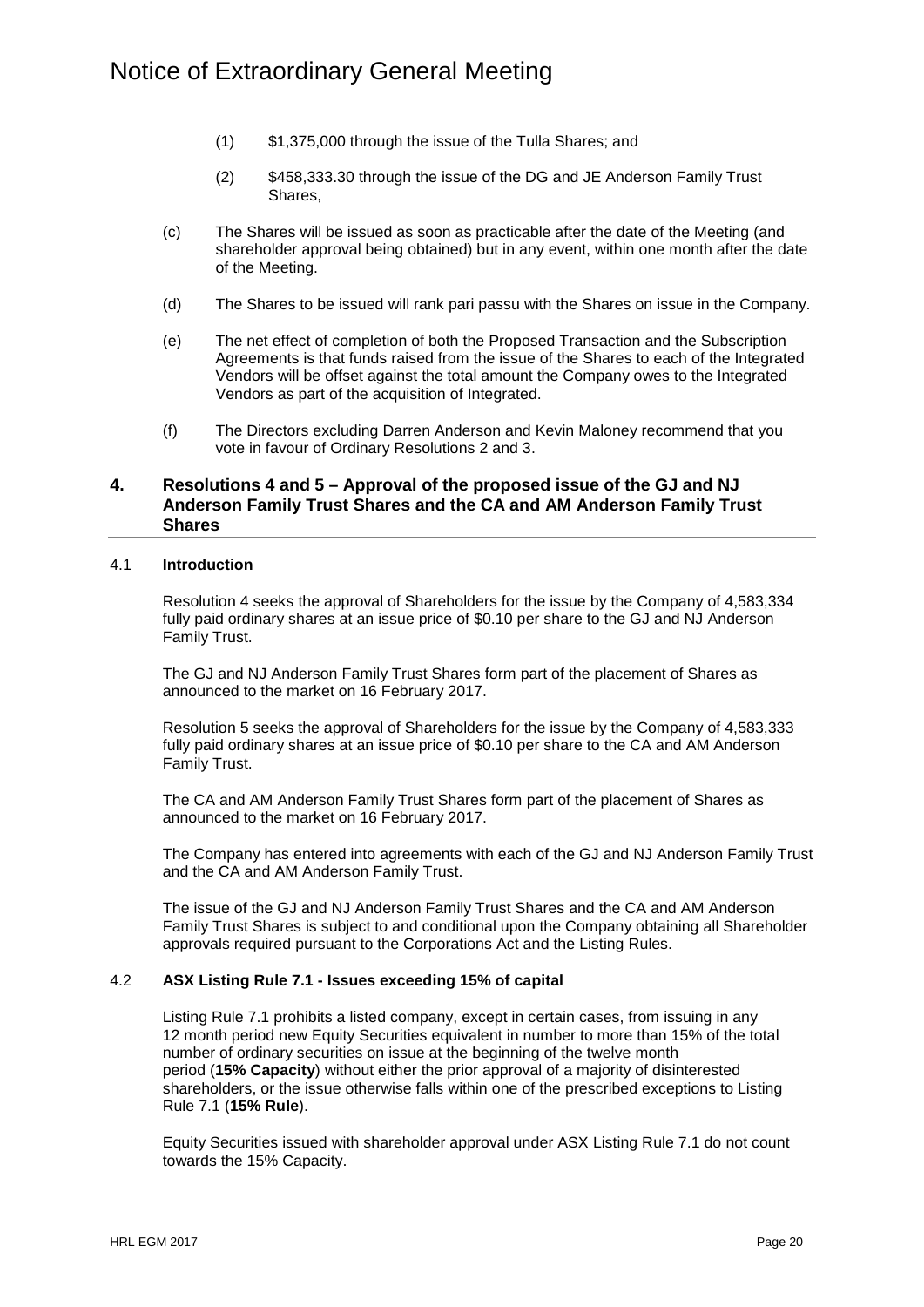- (1) \$1,375,000 through the issue of the Tulla Shares; and
- (2) \$458,333.30 through the issue of the DG and JE Anderson Family Trust Shares,
- (c) The Shares will be issued as soon as practicable after the date of the Meeting (and shareholder approval being obtained) but in any event, within one month after the date of the Meeting.
- (d) The Shares to be issued will rank pari passu with the Shares on issue in the Company.
- (e) The net effect of completion of both the Proposed Transaction and the Subscription Agreements is that funds raised from the issue of the Shares to each of the Integrated Vendors will be offset against the total amount the Company owes to the Integrated Vendors as part of the acquisition of Integrated.
- (f) The Directors excluding Darren Anderson and Kevin Maloney recommend that you vote in favour of Ordinary Resolutions 2 and 3.

## **4. Resolutions 4 and 5 – Approval of the proposed issue of the GJ and NJ Anderson Family Trust Shares and the CA and AM Anderson Family Trust Shares**

#### 4.1 **Introduction**

Resolution 4 seeks the approval of Shareholders for the issue by the Company of 4,583,334 fully paid ordinary shares at an issue price of \$0.10 per share to the GJ and NJ Anderson Family Trust.

The GJ and NJ Anderson Family Trust Shares form part of the placement of Shares as announced to the market on 16 February 2017.

Resolution 5 seeks the approval of Shareholders for the issue by the Company of 4,583,333 fully paid ordinary shares at an issue price of \$0.10 per share to the CA and AM Anderson Family Trust.

The CA and AM Anderson Family Trust Shares form part of the placement of Shares as announced to the market on 16 February 2017.

The Company has entered into agreements with each of the GJ and NJ Anderson Family Trust and the CA and AM Anderson Family Trust.

The issue of the GJ and NJ Anderson Family Trust Shares and the CA and AM Anderson Family Trust Shares is subject to and conditional upon the Company obtaining all Shareholder approvals required pursuant to the Corporations Act and the Listing Rules.

#### 4.2 **ASX Listing Rule 7.1 - Issues exceeding 15% of capital**

Listing Rule 7.1 prohibits a listed company, except in certain cases, from issuing in any 12 month period new Equity Securities equivalent in number to more than 15% of the total number of ordinary securities on issue at the beginning of the twelve month period (**15% Capacity**) without either the prior approval of a majority of disinterested shareholders, or the issue otherwise falls within one of the prescribed exceptions to Listing Rule 7.1 (**15% Rule**).

Equity Securities issued with shareholder approval under ASX Listing Rule 7.1 do not count towards the 15% Capacity.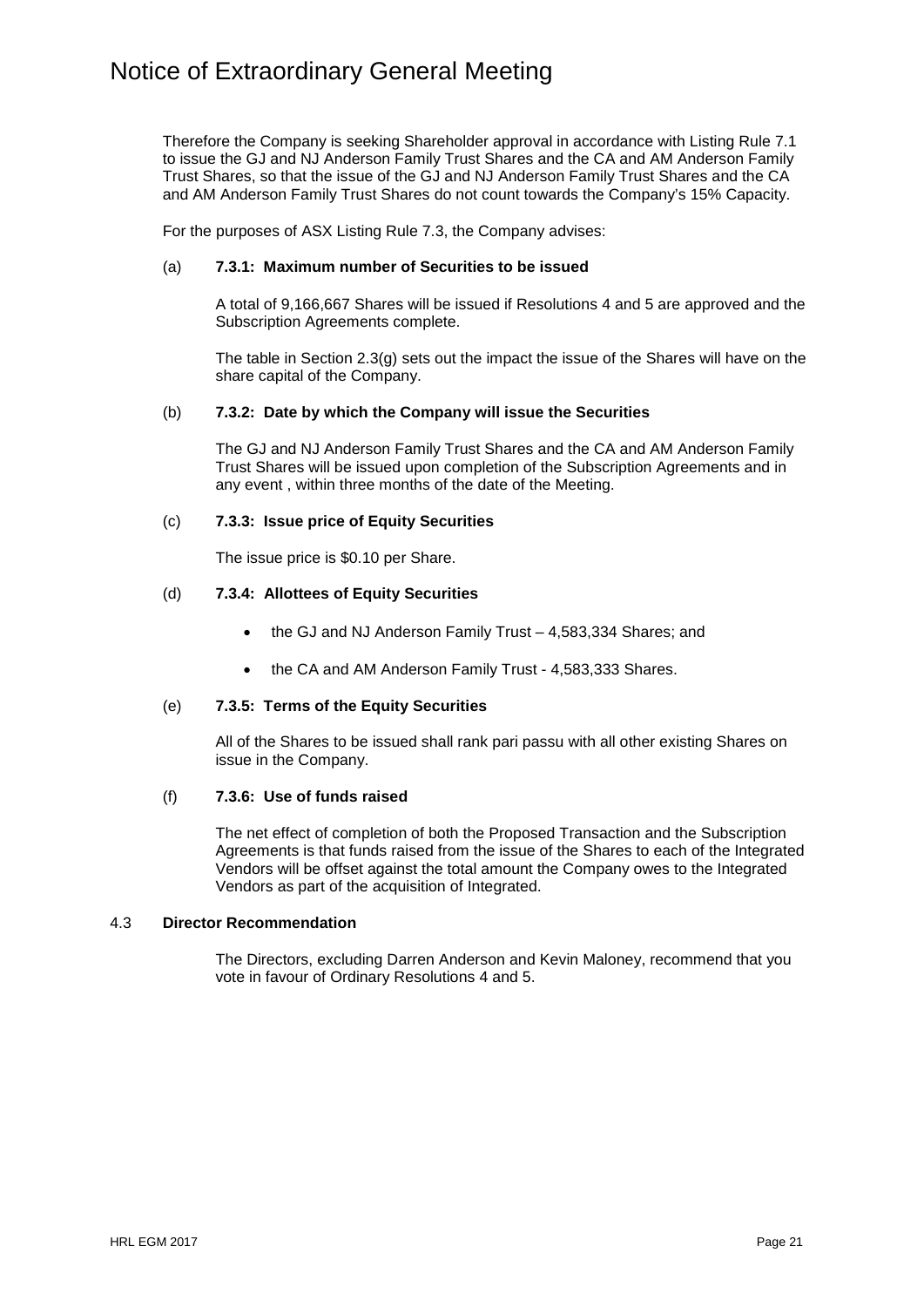Therefore the Company is seeking Shareholder approval in accordance with Listing Rule 7.1 to issue the GJ and NJ Anderson Family Trust Shares and the CA and AM Anderson Family Trust Shares, so that the issue of the GJ and NJ Anderson Family Trust Shares and the CA and AM Anderson Family Trust Shares do not count towards the Company's 15% Capacity.

For the purposes of ASX Listing Rule 7.3, the Company advises:

### (a) **7.3.1: Maximum number of Securities to be issued**

A total of 9,166,667 Shares will be issued if Resolutions 4 and 5 are approved and the Subscription Agreements complete.

The table in Section 2.3(g) sets out the impact the issue of the Shares will have on the share capital of the Company.

### (b) **7.3.2: Date by which the Company will issue the Securities**

The GJ and NJ Anderson Family Trust Shares and the CA and AM Anderson Family Trust Shares will be issued upon completion of the Subscription Agreements and in any event , within three months of the date of the Meeting.

### (c) **7.3.3: Issue price of Equity Securities**

The issue price is \$0.10 per Share.

### (d) **7.3.4: Allottees of Equity Securities**

- the GJ and NJ Anderson Family Trust 4,583,334 Shares; and
- the CA and AM Anderson Family Trust 4,583,333 Shares.

#### (e) **7.3.5: Terms of the Equity Securities**

All of the Shares to be issued shall rank pari passu with all other existing Shares on issue in the Company.

#### (f) **7.3.6: Use of funds raised**

The net effect of completion of both the Proposed Transaction and the Subscription Agreements is that funds raised from the issue of the Shares to each of the Integrated Vendors will be offset against the total amount the Company owes to the Integrated Vendors as part of the acquisition of Integrated.

### 4.3 **Director Recommendation**

The Directors, excluding Darren Anderson and Kevin Maloney, recommend that you vote in favour of Ordinary Resolutions 4 and 5.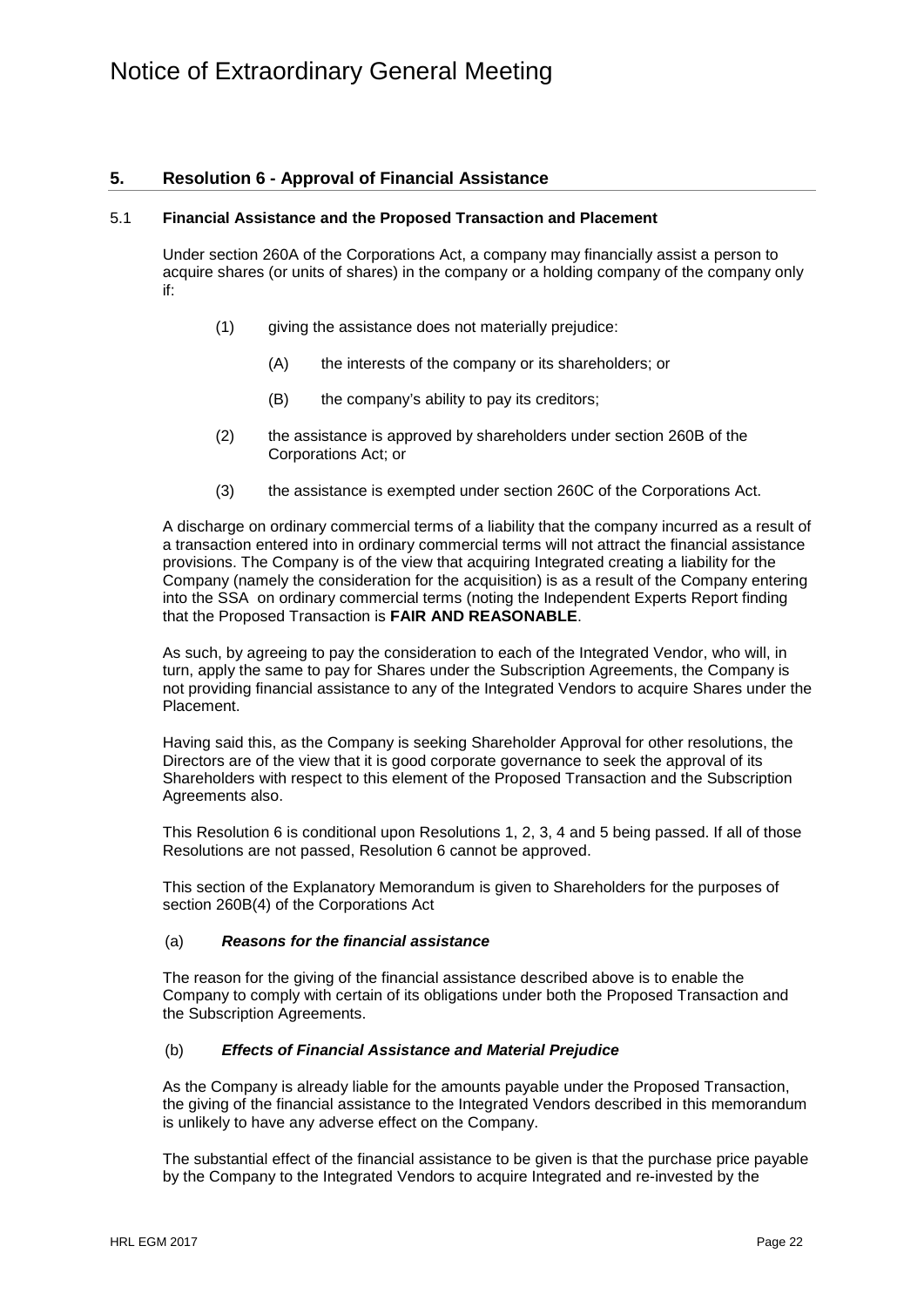## **5. Resolution 6 - Approval of Financial Assistance**

#### 5.1 **Financial Assistance and the Proposed Transaction and Placement**

Under section 260A of the Corporations Act, a company may financially assist a person to acquire shares (or units of shares) in the company or a holding company of the company only if:

- (1) giving the assistance does not materially prejudice:
	- (A) the interests of the company or its shareholders; or
	- (B) the company's ability to pay its creditors;
- (2) the assistance is approved by shareholders under section 260B of the Corporations Act; or
- (3) the assistance is exempted under section 260C of the Corporations Act.

A discharge on ordinary commercial terms of a liability that the company incurred as a result of a transaction entered into in ordinary commercial terms will not attract the financial assistance provisions. The Company is of the view that acquiring Integrated creating a liability for the Company (namely the consideration for the acquisition) is as a result of the Company entering into the SSA on ordinary commercial terms (noting the Independent Experts Report finding that the Proposed Transaction is **FAIR AND REASONABLE**.

As such, by agreeing to pay the consideration to each of the Integrated Vendor, who will, in turn, apply the same to pay for Shares under the Subscription Agreements, the Company is not providing financial assistance to any of the Integrated Vendors to acquire Shares under the Placement.

Having said this, as the Company is seeking Shareholder Approval for other resolutions, the Directors are of the view that it is good corporate governance to seek the approval of its Shareholders with respect to this element of the Proposed Transaction and the Subscription Agreements also.

This Resolution 6 is conditional upon Resolutions 1, 2, 3, 4 and 5 being passed. If all of those Resolutions are not passed, Resolution 6 cannot be approved.

This section of the Explanatory Memorandum is given to Shareholders for the purposes of section 260B(4) of the Corporations Act

### (a) *Reasons for the financial assistance*

The reason for the giving of the financial assistance described above is to enable the Company to comply with certain of its obligations under both the Proposed Transaction and the Subscription Agreements.

#### (b) *Effects of Financial Assistance and Material Prejudice*

As the Company is already liable for the amounts payable under the Proposed Transaction, the giving of the financial assistance to the Integrated Vendors described in this memorandum is unlikely to have any adverse effect on the Company.

The substantial effect of the financial assistance to be given is that the purchase price payable by the Company to the Integrated Vendors to acquire Integrated and re-invested by the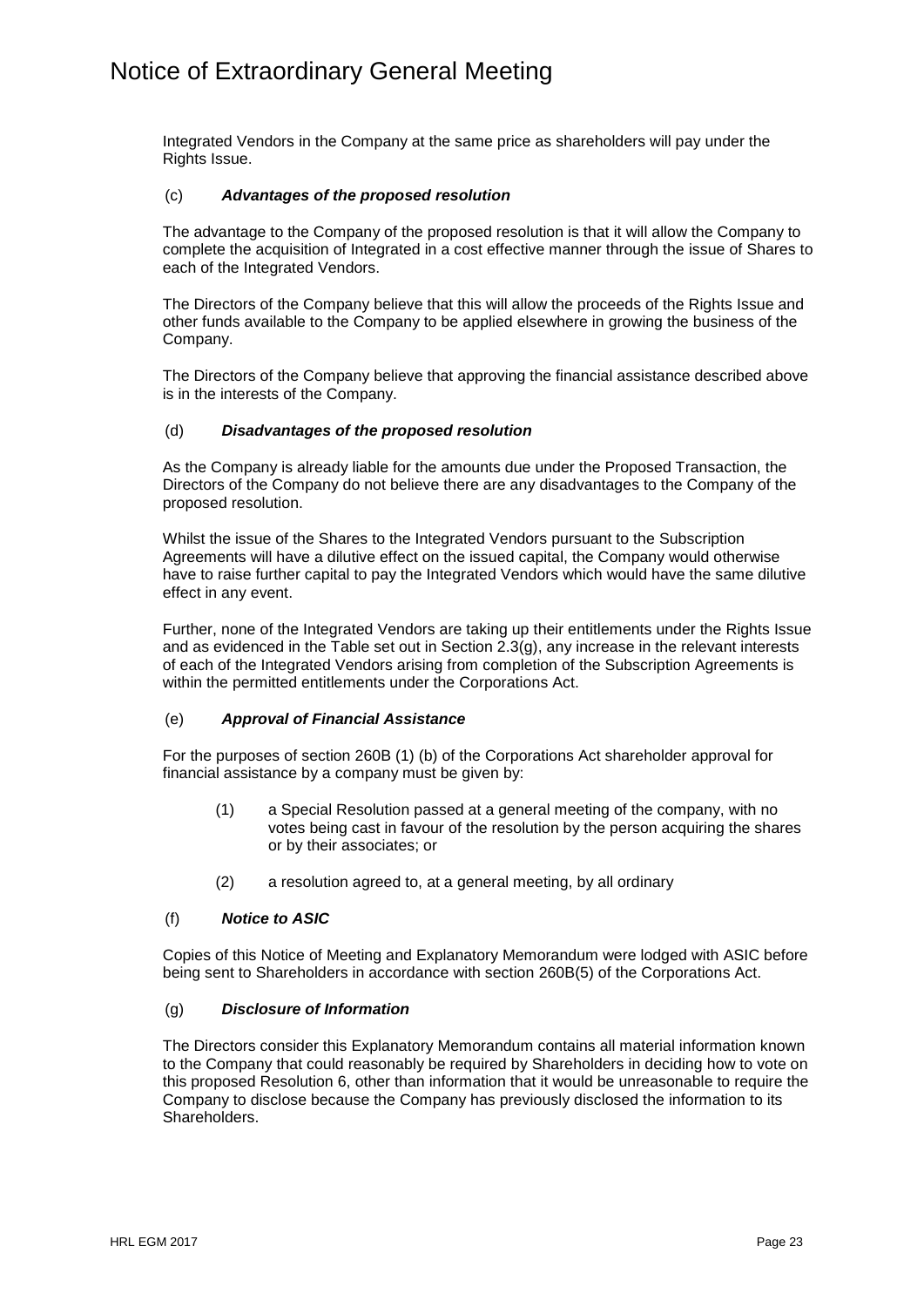Integrated Vendors in the Company at the same price as shareholders will pay under the Rights Issue.

### (c) *Advantages of the proposed resolution*

The advantage to the Company of the proposed resolution is that it will allow the Company to complete the acquisition of Integrated in a cost effective manner through the issue of Shares to each of the Integrated Vendors.

The Directors of the Company believe that this will allow the proceeds of the Rights Issue and other funds available to the Company to be applied elsewhere in growing the business of the Company.

The Directors of the Company believe that approving the financial assistance described above is in the interests of the Company.

### (d) *Disadvantages of the proposed resolution*

As the Company is already liable for the amounts due under the Proposed Transaction, the Directors of the Company do not believe there are any disadvantages to the Company of the proposed resolution.

Whilst the issue of the Shares to the Integrated Vendors pursuant to the Subscription Agreements will have a dilutive effect on the issued capital, the Company would otherwise have to raise further capital to pay the Integrated Vendors which would have the same dilutive effect in any event.

Further, none of the Integrated Vendors are taking up their entitlements under the Rights Issue and as evidenced in the Table set out in Section 2.3(g), any increase in the relevant interests of each of the Integrated Vendors arising from completion of the Subscription Agreements is within the permitted entitlements under the Corporations Act.

## (e) *Approval of Financial Assistance*

For the purposes of section 260B (1) (b) of the Corporations Act shareholder approval for financial assistance by a company must be given by:

- (1) a Special Resolution passed at a general meeting of the company, with no votes being cast in favour of the resolution by the person acquiring the shares or by their associates; or
- (2) a resolution agreed to, at a general meeting, by all ordinary

## (f) *Notice to ASIC*

Copies of this Notice of Meeting and Explanatory Memorandum were lodged with ASIC before being sent to Shareholders in accordance with section 260B(5) of the Corporations Act.

### (g) *Disclosure of Information*

The Directors consider this Explanatory Memorandum contains all material information known to the Company that could reasonably be required by Shareholders in deciding how to vote on this proposed Resolution 6, other than information that it would be unreasonable to require the Company to disclose because the Company has previously disclosed the information to its Shareholders.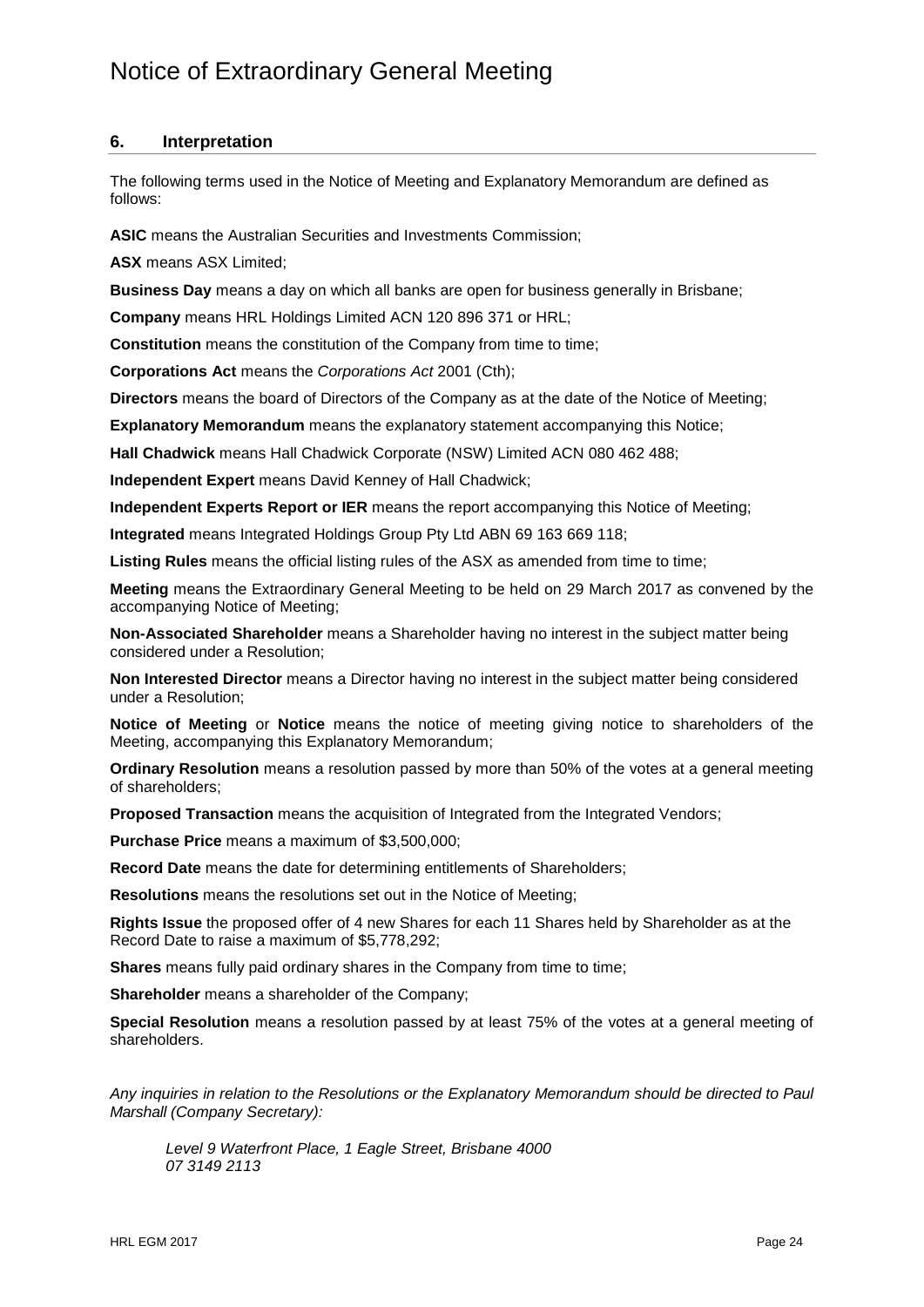## **6. Interpretation**

The following terms used in the Notice of Meeting and Explanatory Memorandum are defined as follows:

**ASIC** means the Australian Securities and Investments Commission;

**ASX** means ASX Limited;

**Business Day** means a day on which all banks are open for business generally in Brisbane;

**Company** means HRL Holdings Limited ACN 120 896 371 or HRL;

**Constitution** means the constitution of the Company from time to time;

**Corporations Act** means the *Corporations Act* 2001 (Cth);

**Directors** means the board of Directors of the Company as at the date of the Notice of Meeting;

**Explanatory Memorandum** means the explanatory statement accompanying this Notice;

**Hall Chadwick** means Hall Chadwick Corporate (NSW) Limited ACN 080 462 488;

**Independent Expert** means David Kenney of Hall Chadwick;

**Independent Experts Report or IER** means the report accompanying this Notice of Meeting;

**Integrated** means Integrated Holdings Group Pty Ltd ABN 69 163 669 118;

Listing Rules means the official listing rules of the ASX as amended from time to time;

**Meeting** means the Extraordinary General Meeting to be held on 29 March 2017 as convened by the accompanying Notice of Meeting;

**Non-Associated Shareholder** means a Shareholder having no interest in the subject matter being considered under a Resolution;

**Non Interested Director** means a Director having no interest in the subject matter being considered under a Resolution;

**Notice of Meeting** or **Notice** means the notice of meeting giving notice to shareholders of the Meeting, accompanying this Explanatory Memorandum;

**Ordinary Resolution** means a resolution passed by more than 50% of the votes at a general meeting of shareholders;

**Proposed Transaction** means the acquisition of Integrated from the Integrated Vendors;

**Purchase Price** means a maximum of \$3,500,000;

**Record Date** means the date for determining entitlements of Shareholders;

**Resolutions** means the resolutions set out in the Notice of Meeting;

**Rights Issue** the proposed offer of 4 new Shares for each 11 Shares held by Shareholder as at the Record Date to raise a maximum of \$5,778,292;

**Shares** means fully paid ordinary shares in the Company from time to time;

**Shareholder** means a shareholder of the Company;

**Special Resolution** means a resolution passed by at least 75% of the votes at a general meeting of shareholders.

*Any inquiries in relation to the Resolutions or the Explanatory Memorandum should be directed to Paul Marshall (Company Secretary):*

*Level 9 Waterfront Place, 1 Eagle Street, Brisbane 4000 07 3149 2113*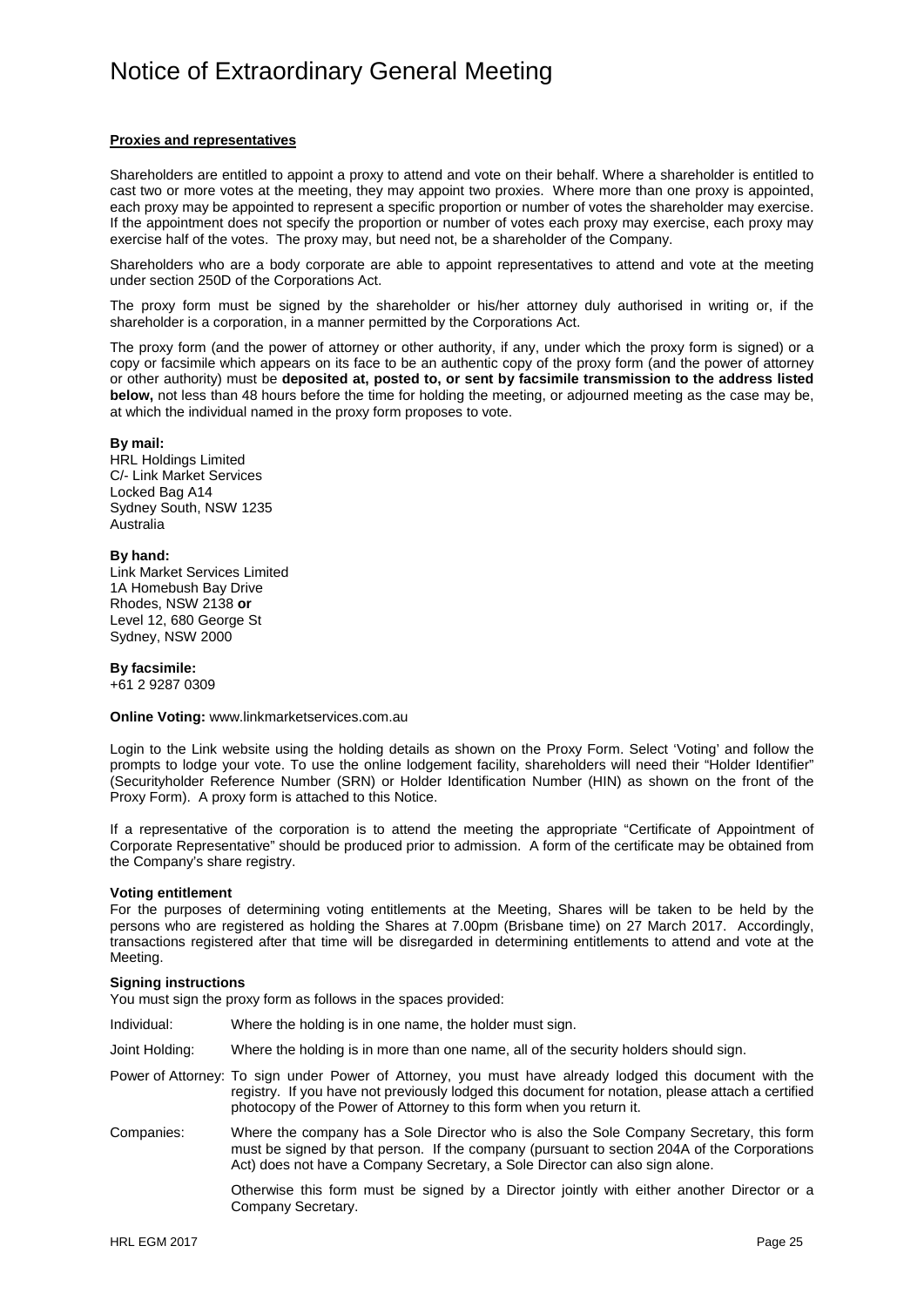#### **Proxies and representatives**

Shareholders are entitled to appoint a proxy to attend and vote on their behalf. Where a shareholder is entitled to cast two or more votes at the meeting, they may appoint two proxies. Where more than one proxy is appointed, each proxy may be appointed to represent a specific proportion or number of votes the shareholder may exercise. If the appointment does not specify the proportion or number of votes each proxy may exercise, each proxy may exercise half of the votes. The proxy may, but need not, be a shareholder of the Company.

Shareholders who are a body corporate are able to appoint representatives to attend and vote at the meeting under section 250D of the Corporations Act.

The proxy form must be signed by the shareholder or his/her attorney duly authorised in writing or, if the shareholder is a corporation, in a manner permitted by the Corporations Act.

The proxy form (and the power of attorney or other authority, if any, under which the proxy form is signed) or a copy or facsimile which appears on its face to be an authentic copy of the proxy form (and the power of attorney or other authority) must be **deposited at, posted to, or sent by facsimile transmission to the address listed below,** not less than 48 hours before the time for holding the meeting, or adjourned meeting as the case may be, at which the individual named in the proxy form proposes to vote.

#### **By mail:**

HRL Holdings Limited C/- Link Market Services Locked Bag A14 Sydney South, NSW 1235 Australia

#### **By hand:**

Link Market Services Limited 1A Homebush Bay Drive Rhodes, NSW 2138 **or** Level 12, 680 George St Sydney, NSW 2000

#### **By facsimile:**

+61 2 9287 0309

**Online Voting:** www.linkmarketservices.com.au

Login to the Link website using the holding details as shown on the Proxy Form. Select 'Voting' and follow the prompts to lodge your vote. To use the online lodgement facility, shareholders will need their "Holder Identifier" (Securityholder Reference Number (SRN) or Holder Identification Number (HIN) as shown on the front of the Proxy Form). A proxy form is attached to this Notice.

If a representative of the corporation is to attend the meeting the appropriate "Certificate of Appointment of Corporate Representative" should be produced prior to admission. A form of the certificate may be obtained from the Company's share registry.

#### **Voting entitlement**

For the purposes of determining voting entitlements at the Meeting, Shares will be taken to be held by the persons who are registered as holding the Shares at 7.00pm (Brisbane time) on 27 March 2017. Accordingly, transactions registered after that time will be disregarded in determining entitlements to attend and vote at the Meeting.

#### **Signing instructions**

You must sign the proxy form as follows in the spaces provided:

- Individual: Where the holding is in one name, the holder must sign.
- Joint Holding: Where the holding is in more than one name, all of the security holders should sign.

Power of Attorney: To sign under Power of Attorney, you must have already lodged this document with the registry. If you have not previously lodged this document for notation, please attach a certified photocopy of the Power of Attorney to this form when you return it.

Companies: Where the company has a Sole Director who is also the Sole Company Secretary, this form must be signed by that person. If the company (pursuant to section 204A of the Corporations Act) does not have a Company Secretary, a Sole Director can also sign alone.

> Otherwise this form must be signed by a Director jointly with either another Director or a Company Secretary.